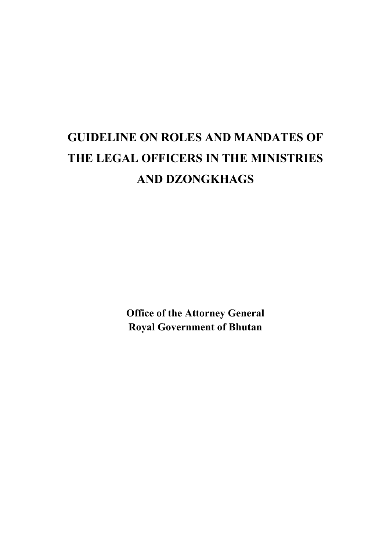# **GUIDELINE ON ROLES AND MANDATES OF THE LEGAL OFFICERS IN THE MINISTRIES AND DZONGKHAGS**

**Office of the Attorney General Royal Government of Bhutan**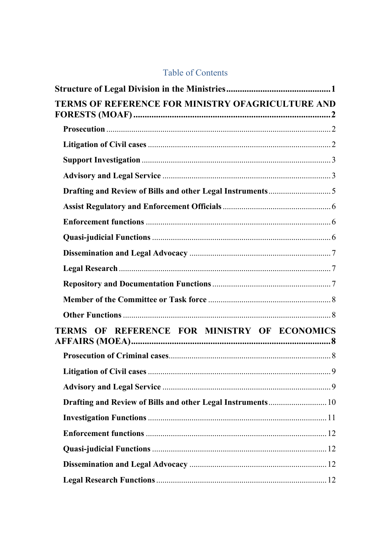#### **Table of Contents**

| TERMS OF REFERENCE FOR MINISTRY OFAGRICULTURE AND         |  |
|-----------------------------------------------------------|--|
|                                                           |  |
|                                                           |  |
|                                                           |  |
|                                                           |  |
| Drafting and Review of Bills and other Legal Instruments5 |  |
|                                                           |  |
|                                                           |  |
|                                                           |  |
|                                                           |  |
|                                                           |  |
|                                                           |  |
|                                                           |  |
|                                                           |  |
| TERMS OF REFERENCE FOR MINISTRY OF ECONOMICS              |  |
|                                                           |  |
|                                                           |  |
|                                                           |  |
|                                                           |  |
|                                                           |  |
|                                                           |  |
|                                                           |  |
|                                                           |  |
|                                                           |  |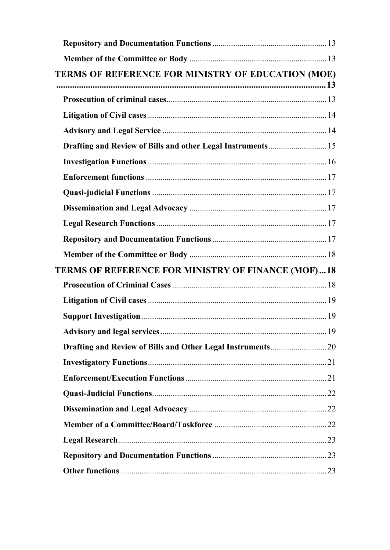| TERMS OF REFERENCE FOR MINISTRY OF EDUCATION (MOE)          |  |
|-------------------------------------------------------------|--|
|                                                             |  |
|                                                             |  |
|                                                             |  |
| Drafting and Review of Bills and other Legal Instruments 15 |  |
|                                                             |  |
|                                                             |  |
|                                                             |  |
|                                                             |  |
|                                                             |  |
|                                                             |  |
|                                                             |  |
| <b>TERMS OF REFERENCE FOR MINISTRY OF FINANCE (MOF)18</b>   |  |
|                                                             |  |
|                                                             |  |
|                                                             |  |
|                                                             |  |
|                                                             |  |
|                                                             |  |
|                                                             |  |
|                                                             |  |
|                                                             |  |
|                                                             |  |
|                                                             |  |
|                                                             |  |
|                                                             |  |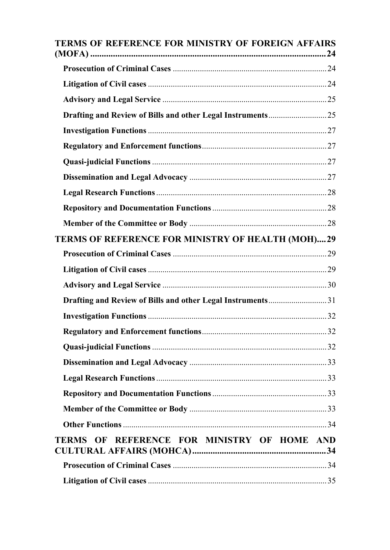| TERMS OF REFERENCE FOR MINISTRY OF FOREIGN AFFAIRS         |
|------------------------------------------------------------|
|                                                            |
|                                                            |
|                                                            |
|                                                            |
|                                                            |
|                                                            |
|                                                            |
|                                                            |
|                                                            |
|                                                            |
|                                                            |
| TERMS OF REFERENCE FOR MINISTRY OF HEALTH (MOH)29          |
|                                                            |
|                                                            |
|                                                            |
| Drafting and Review of Bills and other Legal Instruments31 |
|                                                            |
|                                                            |
|                                                            |
|                                                            |
|                                                            |
|                                                            |
|                                                            |
|                                                            |
| TERMS OF REFERENCE FOR MINISTRY OF HOME AND                |
|                                                            |
|                                                            |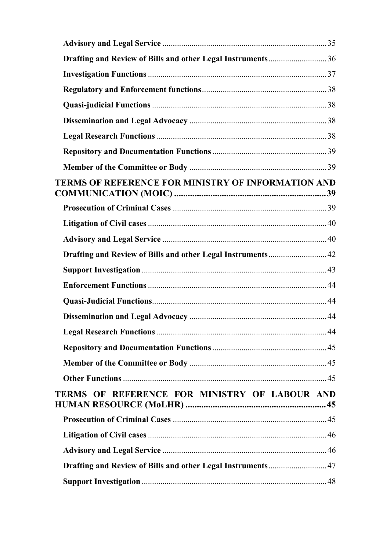| Drafting and Review of Bills and other Legal Instruments36 |  |
|------------------------------------------------------------|--|
|                                                            |  |
|                                                            |  |
|                                                            |  |
|                                                            |  |
|                                                            |  |
|                                                            |  |
|                                                            |  |
| <b>TERMS OF REFERENCE FOR MINISTRY OF INFORMATION AND</b>  |  |
|                                                            |  |
|                                                            |  |
|                                                            |  |
|                                                            |  |
|                                                            |  |
|                                                            |  |
|                                                            |  |
|                                                            |  |
|                                                            |  |
|                                                            |  |
|                                                            |  |
|                                                            |  |
| TERMS OF REFERENCE FOR MINISTRY OF LABOUR AND              |  |
|                                                            |  |
|                                                            |  |
|                                                            |  |
| Drafting and Review of Bills and other Legal Instruments47 |  |
|                                                            |  |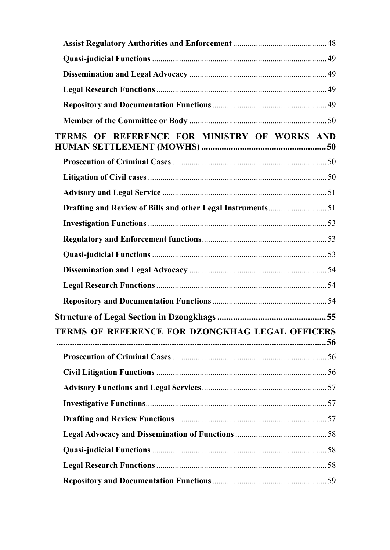| TERMS OF REFERENCE FOR MINISTRY OF WORKS AND               |  |
|------------------------------------------------------------|--|
|                                                            |  |
|                                                            |  |
|                                                            |  |
| Drafting and Review of Bills and other Legal Instruments51 |  |
|                                                            |  |
|                                                            |  |
|                                                            |  |
|                                                            |  |
|                                                            |  |
|                                                            |  |
|                                                            |  |
| <b>TERMS OF REFERENCE FOR DZONGKHAG LEGAL OFFICERS</b>     |  |
|                                                            |  |
|                                                            |  |
|                                                            |  |
|                                                            |  |
|                                                            |  |
|                                                            |  |
|                                                            |  |
|                                                            |  |
|                                                            |  |
|                                                            |  |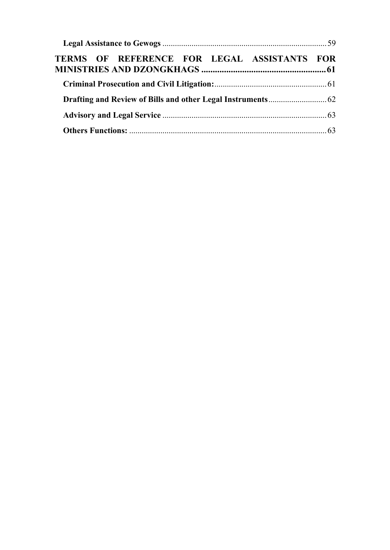| TERMS OF REFERENCE FOR LEGAL ASSISTANTS FOR |  |
|---------------------------------------------|--|
|                                             |  |
|                                             |  |
|                                             |  |
|                                             |  |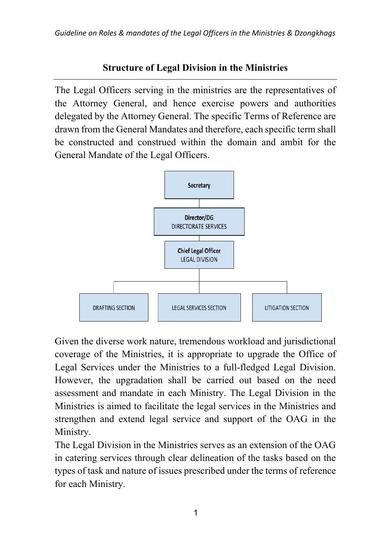### **Structure of Legal Division in the Ministries**

The Legal Officers serving in the ministries are the representatives of the Attorney General, and hence exercise powers and authorities delegated by the Attorney General. The specific Terms of Reference are drawn from the General Mandates and therefore, each specific term shall be constructed and construed within the domain and ambit for the General Mandate of the Legal Officers.



Given the diverse work nature, tremendous workload and jurisdictional coverage of the Ministries, it is appropriate to upgrade the Office of Legal Services under the Ministries to a full-fledged Legal Division. However, the upgradation shall be carried out based on the need assessment and mandate in each Ministry. The Legal Division in the Ministries is aimed to facilitate the legal services in the Ministries and strengthen and extend legal service and support of the OAG in the Ministry.

The Legal Division in the Ministries serves as an extension of the OAG in catering services through clear delineation of the tasks based on the types of task and nature of issues prescribed under the terms of reference for each Ministry.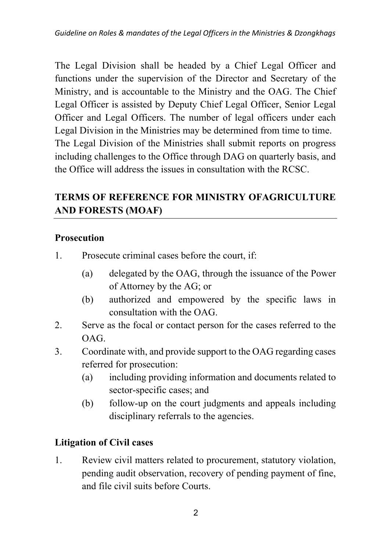The Legal Division shall be headed by a Chief Legal Officer and functions under the supervision of the Director and Secretary of the Ministry, and is accountable to the Ministry and the OAG. The Chief Legal Officer is assisted by Deputy Chief Legal Officer, Senior Legal Officer and Legal Officers. The number of legal officers under each Legal Division in the Ministries may be determined from time to time. The Legal Division of the Ministries shall submit reports on progress including challenges to the Office through DAG on quarterly basis, and the Office will address the issues in consultation with the RCSC.

# **TERMS OF REFERENCE FOR MINISTRY OFAGRICULTURE AND FORESTS (MOAF)**

#### **Prosecution**

- 1. Prosecute criminal cases before the court, if:
	- (a) delegated by the OAG, through the issuance of the Power of Attorney by the AG; or
	- (b) authorized and empowered by the specific laws in consultation with the OAG.
- 2. Serve as the focal or contact person for the cases referred to the OAG.
- 3. Coordinate with, and provide support to the OAG regarding cases referred for prosecution:
	- (a) including providing information and documents related to sector-specific cases; and
	- (b) follow-up on the court judgments and appeals including disciplinary referrals to the agencies.

### **Litigation of Civil cases**

1. Review civil matters related to procurement, statutory violation, pending audit observation, recovery of pending payment of fine, and file civil suits before Courts.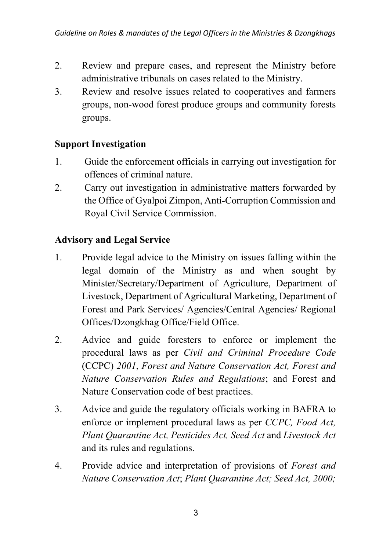- 2. Review and prepare cases, and represent the Ministry before administrative tribunals on cases related to the Ministry.
- 3. Review and resolve issues related to cooperatives and farmers groups, non-wood forest produce groups and community forests groups.

### **Support Investigation**

- 1. Guide the enforcement officials in carrying out investigation for offences of criminal nature.
- 2. Carry out investigation in administrative matters forwarded by the Office of Gyalpoi Zimpon, Anti-Corruption Commission and Royal Civil Service Commission.

### **Advisory and Legal Service**

- 1. Provide legal advice to the Ministry on issues falling within the legal domain of the Ministry as and when sought by Minister/Secretary/Department of Agriculture, Department of Livestock, Department of Agricultural Marketing, Department of Forest and Park Services/ Agencies/Central Agencies/ Regional Offices/Dzongkhag Office/Field Office.
- 2. Advice and guide foresters to enforce or implement the procedural laws as per *Civil and Criminal Procedure Code*  (CCPC) *2001*, *Forest and Nature Conservation Act, Forest and Nature Conservation Rules and Regulations*; and Forest and Nature Conservation code of best practices.
- 3. Advice and guide the regulatory officials working in BAFRA to enforce or implement procedural laws as per *CCPC, Food Act, Plant Quarantine Act, Pesticides Act, Seed Act* and *Livestock Act* and its rules and regulations.
- 4. Provide advice and interpretation of provisions of *Forest and Nature Conservation Act*; *Plant Quarantine Act; Seed Act, 2000;*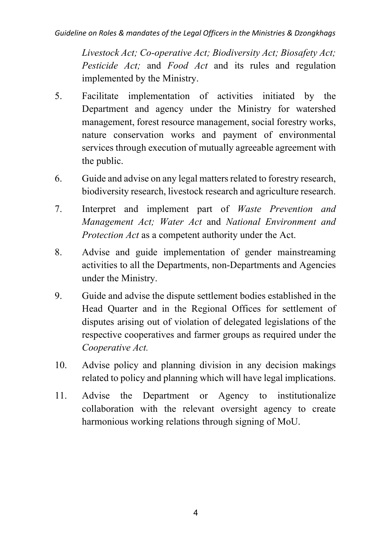*Livestock Act; Co-operative Act; Biodiversity Act; Biosafety Act; Pesticide Act;* and *Food Act* and its rules and regulation implemented by the Ministry.

- 5. Facilitate implementation of activities initiated by the Department and agency under the Ministry for watershed management, forest resource management, social forestry works, nature conservation works and payment of environmental services through execution of mutually agreeable agreement with the public.
- 6. Guide and advise on any legal matters related to forestry research, biodiversity research, livestock research and agriculture research.
- 7. Interpret and implement part of *Waste Prevention and Management Act; Water Act* and *National Environment and Protection Act* as a competent authority under the Act.
- 8. Advise and guide implementation of gender mainstreaming activities to all the Departments, non-Departments and Agencies under the Ministry.
- 9. Guide and advise the dispute settlement bodies established in the Head Quarter and in the Regional Offices for settlement of disputes arising out of violation of delegated legislations of the respective cooperatives and farmer groups as required under the *Cooperative Act.*
- 10. Advise policy and planning division in any decision makings related to policy and planning which will have legal implications.
- 11. Advise the Department or Agency to institutionalize collaboration with the relevant oversight agency to create harmonious working relations through signing of MoU.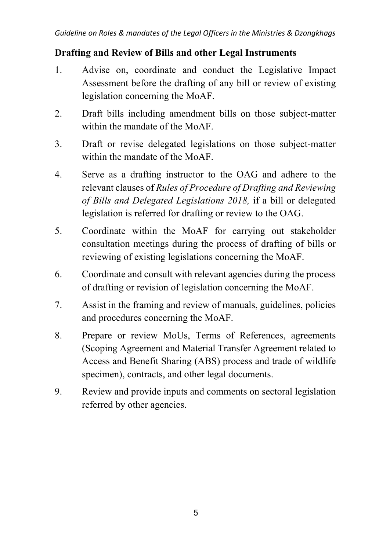#### **Drafting and Review of Bills and other Legal Instruments**

- 1. Advise on, coordinate and conduct the Legislative Impact Assessment before the drafting of any bill or review of existing legislation concerning the MoAF.
- 2. Draft bills including amendment bills on those subject-matter within the mandate of the MoAF.
- 3. Draft or revise delegated legislations on those subject-matter within the mandate of the MoAF.
- 4. Serve as a drafting instructor to the OAG and adhere to the relevant clauses of *Rules of Procedure of Drafting and Reviewing of Bills and Delegated Legislations 2018,* if a bill or delegated legislation is referred for drafting or review to the OAG.
- 5. Coordinate within the MoAF for carrying out stakeholder consultation meetings during the process of drafting of bills or reviewing of existing legislations concerning the MoAF.
- 6. Coordinate and consult with relevant agencies during the process of drafting or revision of legislation concerning the MoAF.
- 7. Assist in the framing and review of manuals, guidelines, policies and procedures concerning the MoAF.
- 8. Prepare or review MoUs, Terms of References, agreements (Scoping Agreement and Material Transfer Agreement related to Access and Benefit Sharing (ABS) process and trade of wildlife specimen), contracts, and other legal documents.
- 9. Review and provide inputs and comments on sectoral legislation referred by other agencies.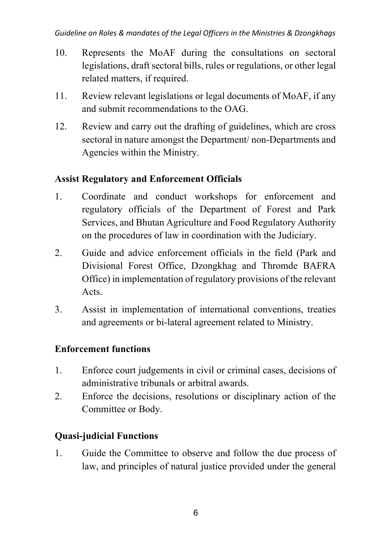- 10. Represents the MoAF during the consultations on sectoral legislations, draft sectoral bills, rules or regulations, or other legal related matters, if required.
- 11. Review relevant legislations or legal documents of MoAF, if any and submit recommendations to the OAG.
- 12. Review and carry out the drafting of guidelines, which are cross sectoral in nature amongst the Department/ non-Departments and Agencies within the Ministry.

### **Assist Regulatory and Enforcement Officials**

- 1. Coordinate and conduct workshops for enforcement and regulatory officials of the Department of Forest and Park Services, and Bhutan Agriculture and Food Regulatory Authority on the procedures of law in coordination with the Judiciary.
- 2. Guide and advice enforcement officials in the field (Park and Divisional Forest Office, Dzongkhag and Thromde BAFRA Office) in implementation of regulatory provisions of the relevant Acts.
- 3. Assist in implementation of international conventions, treaties and agreements or bi-lateral agreement related to Ministry.

# **Enforcement functions**

- 1. Enforce court judgements in civil or criminal cases, decisions of administrative tribunals or arbitral awards.
- 2. Enforce the decisions, resolutions or disciplinary action of the Committee or Body.

# **Quasi-judicial Functions**

1. Guide the Committee to observe and follow the due process of law, and principles of natural justice provided under the general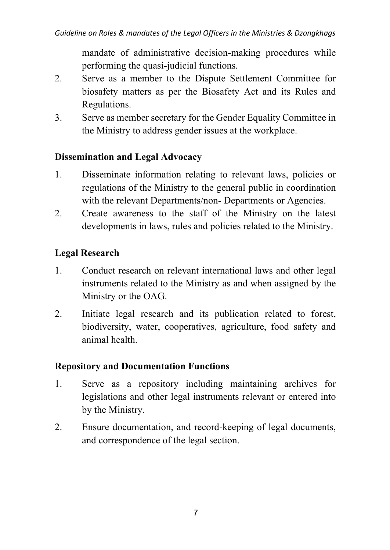mandate of administrative decision-making procedures while performing the quasi-judicial functions.

- 2. Serve as a member to the Dispute Settlement Committee for biosafety matters as per the Biosafety Act and its Rules and Regulations.
- 3. Serve as member secretary for the Gender Equality Committee in the Ministry to address gender issues at the workplace.

#### **Dissemination and Legal Advocacy**

- 1. Disseminate information relating to relevant laws, policies or regulations of the Ministry to the general public in coordination with the relevant Departments/non- Departments or Agencies.
- 2. Create awareness to the staff of the Ministry on the latest developments in laws, rules and policies related to the Ministry.

### **Legal Research**

- 1. Conduct research on relevant international laws and other legal instruments related to the Ministry as and when assigned by the Ministry or the OAG.
- 2. Initiate legal research and its publication related to forest, biodiversity, water, cooperatives, agriculture, food safety and animal health.

### **Repository and Documentation Functions**

- 1. Serve as a repository including maintaining archives for legislations and other legal instruments relevant or entered into by the Ministry.
- 2. Ensure documentation, and record-keeping of legal documents, and correspondence of the legal section.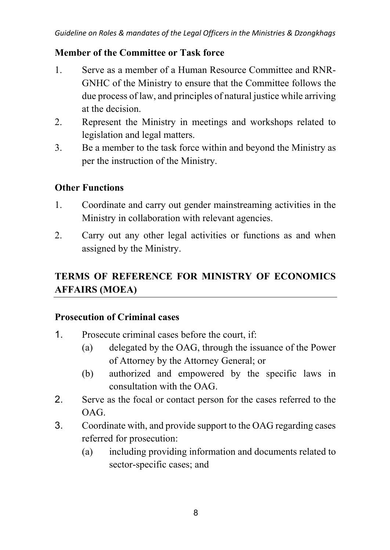#### **Member of the Committee or Task force**

- 1. Serve as a member of a Human Resource Committee and RNR-GNHC of the Ministry to ensure that the Committee follows the due process of law, and principles of natural justice while arriving at the decision.
- 2. Represent the Ministry in meetings and workshops related to legislation and legal matters.
- 3. Be a member to the task force within and beyond the Ministry as per the instruction of the Ministry.

### **Other Functions**

- 1. Coordinate and carry out gender mainstreaming activities in the Ministry in collaboration with relevant agencies.
- 2. Carry out any other legal activities or functions as and when assigned by the Ministry.

# **TERMS OF REFERENCE FOR MINISTRY OF ECONOMICS AFFAIRS (MOEA)**

#### **Prosecution of Criminal cases**

- 1. Prosecute criminal cases before the court, if:
	- (a) delegated by the OAG, through the issuance of the Power of Attorney by the Attorney General; or
	- (b) authorized and empowered by the specific laws in consultation with the OAG.
- 2. Serve as the focal or contact person for the cases referred to the OAG.
- 3. Coordinate with, and provide support to the OAG regarding cases referred for prosecution:
	- (a) including providing information and documents related to sector-specific cases; and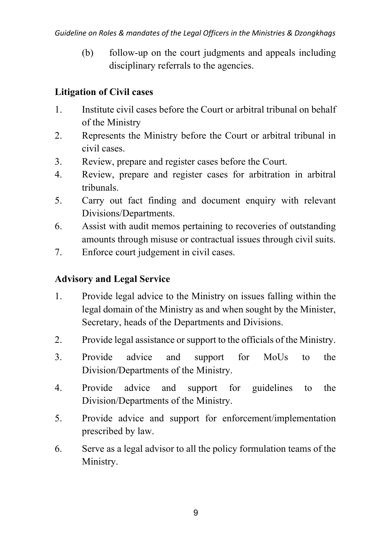(b) follow-up on the court judgments and appeals including disciplinary referrals to the agencies.

### **Litigation of Civil cases**

- 1. Institute civil cases before the Court or arbitral tribunal on behalf of the Ministry
- 2. Represents the Ministry before the Court or arbitral tribunal in civil cases.
- 3. Review, prepare and register cases before the Court.
- 4. Review, prepare and register cases for arbitration in arbitral tribunals.
- 5. Carry out fact finding and document enquiry with relevant Divisions/Departments.
- 6. Assist with audit memos pertaining to recoveries of outstanding amounts through misuse or contractual issues through civil suits.
- 7. Enforce court judgement in civil cases.

### **Advisory and Legal Service**

- 1. Provide legal advice to the Ministry on issues falling within the legal domain of the Ministry as and when sought by the Minister, Secretary, heads of the Departments and Divisions.
- 2. Provide legal assistance or support to the officials of the Ministry.
- 3. Provide advice and support for MoUs to the Division/Departments of the Ministry.
- 4. Provide advice and support for guidelines to the Division/Departments of the Ministry.
- 5. Provide advice and support for enforcement/implementation prescribed by law.
- 6. Serve as a legal advisor to all the policy formulation teams of the Ministry.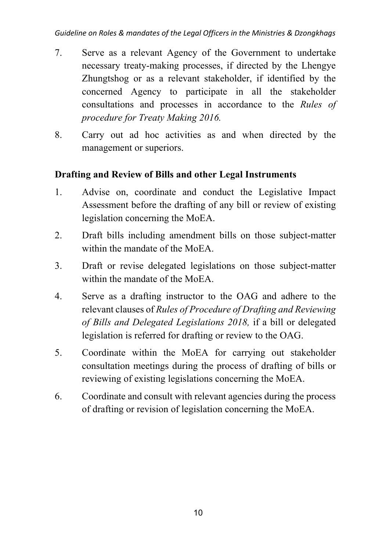- 7. Serve as a relevant Agency of the Government to undertake necessary treaty-making processes, if directed by the Lhengye Zhungtshog or as a relevant stakeholder, if identified by the concerned Agency to participate in all the stakeholder consultations and processes in accordance to the *Rules of procedure for Treaty Making 2016.*
- 8. Carry out ad hoc activities as and when directed by the management or superiors.

### **Drafting and Review of Bills and other Legal Instruments**

- 1. Advise on, coordinate and conduct the Legislative Impact Assessment before the drafting of any bill or review of existing legislation concerning the MoEA.
- 2. Draft bills including amendment bills on those subject-matter within the mandate of the MoEA.
- 3. Draft or revise delegated legislations on those subject-matter within the mandate of the MoEA.
- 4. Serve as a drafting instructor to the OAG and adhere to the relevant clauses of *Rules of Procedure of Drafting and Reviewing of Bills and Delegated Legislations 2018,* if a bill or delegated legislation is referred for drafting or review to the OAG.
- 5. Coordinate within the MoEA for carrying out stakeholder consultation meetings during the process of drafting of bills or reviewing of existing legislations concerning the MoEA.
- 6. Coordinate and consult with relevant agencies during the process of drafting or revision of legislation concerning the MoEA.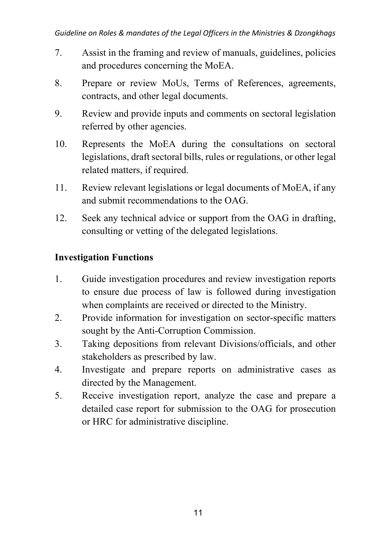- 7. Assist in the framing and review of manuals, guidelines, policies and procedures concerning the MoEA.
- 8. Prepare or review MoUs, Terms of References, agreements, contracts, and other legal documents.
- 9. Review and provide inputs and comments on sectoral legislation referred by other agencies.
- 10. Represents the MoEA during the consultations on sectoral legislations, draft sectoral bills, rules or regulations, or other legal related matters, if required.
- 11. Review relevant legislations or legal documents of MoEA, if any and submit recommendations to the OAG.
- 12. Seek any technical advice or support from the OAG in drafting, consulting or vetting of the delegated legislations.

### **Investigation Functions**

- 1. Guide investigation procedures and review investigation reports to ensure due process of law is followed during investigation when complaints are received or directed to the Ministry.
- 2. Provide information for investigation on sector-specific matters sought by the Anti-Corruption Commission.
- 3. Taking depositions from relevant Divisions/officials, and other stakeholders as prescribed by law.
- 4. Investigate and prepare reports on administrative cases as directed by the Management.
- 5. Receive investigation report, analyze the case and prepare a detailed case report for submission to the OAG for prosecution or HRC for administrative discipline.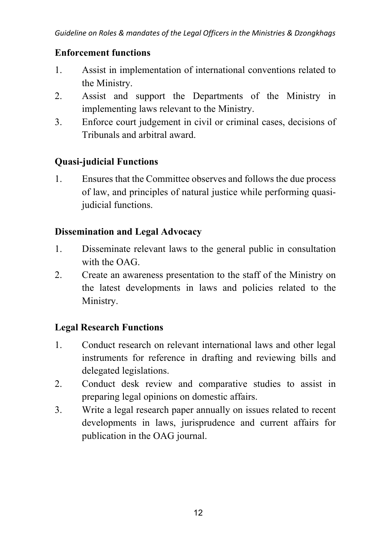#### **Enforcement functions**

- 1. Assist in implementation of international conventions related to the Ministry.
- 2. Assist and support the Departments of the Ministry in implementing laws relevant to the Ministry.
- 3. Enforce court judgement in civil or criminal cases, decisions of Tribunals and arbitral award.

### **Quasi-judicial Functions**

1. Ensures that the Committee observes and follows the due process of law, and principles of natural justice while performing quasijudicial functions.

#### **Dissemination and Legal Advocacy**

- 1. Disseminate relevant laws to the general public in consultation with the OAG.
- 2. Create an awareness presentation to the staff of the Ministry on the latest developments in laws and policies related to the Ministry.

### **Legal Research Functions**

- 1. Conduct research on relevant international laws and other legal instruments for reference in drafting and reviewing bills and delegated legislations.
- 2. Conduct desk review and comparative studies to assist in preparing legal opinions on domestic affairs.
- 3. Write a legal research paper annually on issues related to recent developments in laws, jurisprudence and current affairs for publication in the OAG journal.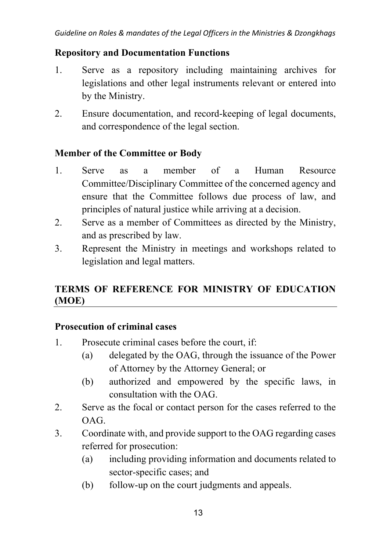#### **Repository and Documentation Functions**

- 1. Serve as a repository including maintaining archives for legislations and other legal instruments relevant or entered into by the Ministry.
- 2. Ensure documentation, and record-keeping of legal documents, and correspondence of the legal section.

#### **Member of the Committee or Body**

- 1. Serve as a member of a Human Resource Committee/Disciplinary Committee of the concerned agency and ensure that the Committee follows due process of law, and principles of natural justice while arriving at a decision.
- 2. Serve as a member of Committees as directed by the Ministry, and as prescribed by law.
- 3. Represent the Ministry in meetings and workshops related to legislation and legal matters.

# **TERMS OF REFERENCE FOR MINISTRY OF EDUCATION (MOE)**

#### **Prosecution of criminal cases**

- 1. Prosecute criminal cases before the court, if:
	- (a) delegated by the OAG, through the issuance of the Power of Attorney by the Attorney General; or
	- (b) authorized and empowered by the specific laws, in consultation with the OAG.
- 2. Serve as the focal or contact person for the cases referred to the OAG.
- 3. Coordinate with, and provide support to the OAG regarding cases referred for prosecution:
	- (a) including providing information and documents related to sector-specific cases; and
	- (b) follow-up on the court judgments and appeals.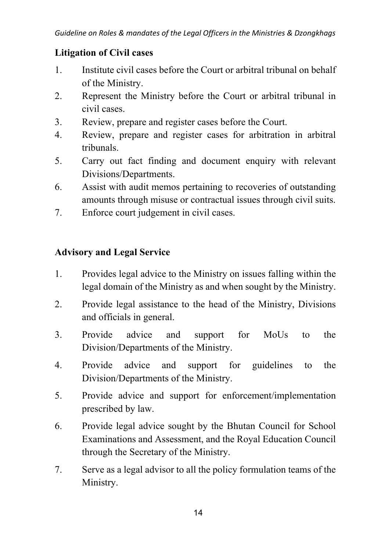#### **Litigation of Civil cases**

- 1. Institute civil cases before the Court or arbitral tribunal on behalf of the Ministry.
- 2. Represent the Ministry before the Court or arbitral tribunal in civil cases.
- 3. Review, prepare and register cases before the Court.
- 4. Review, prepare and register cases for arbitration in arbitral tribunals.
- 5. Carry out fact finding and document enquiry with relevant Divisions/Departments.
- 6. Assist with audit memos pertaining to recoveries of outstanding amounts through misuse or contractual issues through civil suits.
- 7. Enforce court judgement in civil cases.

### **Advisory and Legal Service**

- 1. Provides legal advice to the Ministry on issues falling within the legal domain of the Ministry as and when sought by the Ministry.
- 2. Provide legal assistance to the head of the Ministry, Divisions and officials in general.
- 3. Provide advice and support for MoUs to the Division/Departments of the Ministry.
- 4. Provide advice and support for guidelines to the Division/Departments of the Ministry.
- 5. Provide advice and support for enforcement/implementation prescribed by law.
- 6. Provide legal advice sought by the Bhutan Council for School Examinations and Assessment, and the Royal Education Council through the Secretary of the Ministry.
- 7. Serve as a legal advisor to all the policy formulation teams of the Ministry.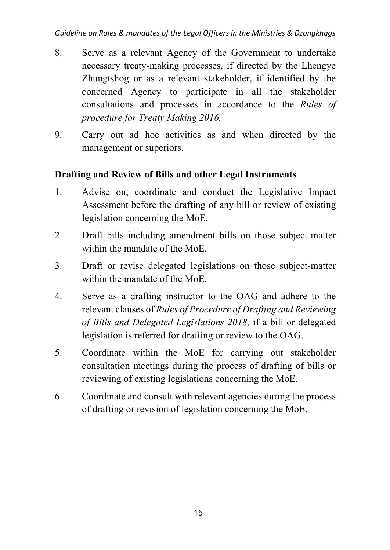- 8. Serve as a relevant Agency of the Government to undertake necessary treaty-making processes, if directed by the Lhengye Zhungtshog or as a relevant stakeholder, if identified by the concerned Agency to participate in all the stakeholder consultations and processes in accordance to the *Rules of procedure for Treaty Making 2016.*
- 9. Carry out ad hoc activities as and when directed by the management or superiors.

#### **Drafting and Review of Bills and other Legal Instruments**

- 1. Advise on, coordinate and conduct the Legislative Impact Assessment before the drafting of any bill or review of existing legislation concerning the MoE.
- 2. Draft bills including amendment bills on those subject-matter within the mandate of the MoE.
- 3. Draft or revise delegated legislations on those subject-matter within the mandate of the MoE.
- 4. Serve as a drafting instructor to the OAG and adhere to the relevant clauses of *Rules of Procedure of Drafting and Reviewing of Bills and Delegated Legislations 2018,* if a bill or delegated legislation is referred for drafting or review to the OAG.
- 5. Coordinate within the MoE for carrying out stakeholder consultation meetings during the process of drafting of bills or reviewing of existing legislations concerning the MoE.
- 6. Coordinate and consult with relevant agencies during the process of drafting or revision of legislation concerning the MoE.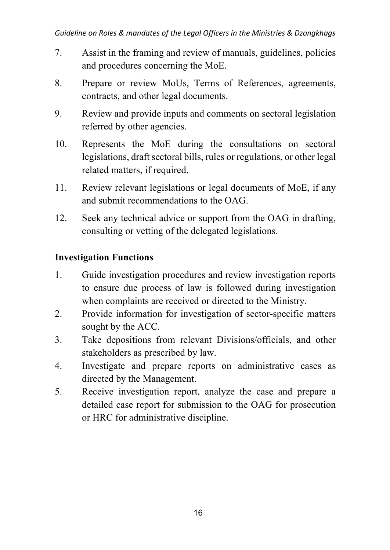- 7. Assist in the framing and review of manuals, guidelines, policies and procedures concerning the MoE.
- 8. Prepare or review MoUs, Terms of References, agreements, contracts, and other legal documents.
- 9. Review and provide inputs and comments on sectoral legislation referred by other agencies.
- 10. Represents the MoE during the consultations on sectoral legislations, draft sectoral bills, rules or regulations, or other legal related matters, if required.
- 11. Review relevant legislations or legal documents of MoE, if any and submit recommendations to the OAG.
- 12. Seek any technical advice or support from the OAG in drafting, consulting or vetting of the delegated legislations.

### **Investigation Functions**

- 1. Guide investigation procedures and review investigation reports to ensure due process of law is followed during investigation when complaints are received or directed to the Ministry.
- 2. Provide information for investigation of sector-specific matters sought by the ACC.
- 3. Take depositions from relevant Divisions/officials, and other stakeholders as prescribed by law.
- 4. Investigate and prepare reports on administrative cases as directed by the Management.
- 5. Receive investigation report, analyze the case and prepare a detailed case report for submission to the OAG for prosecution or HRC for administrative discipline.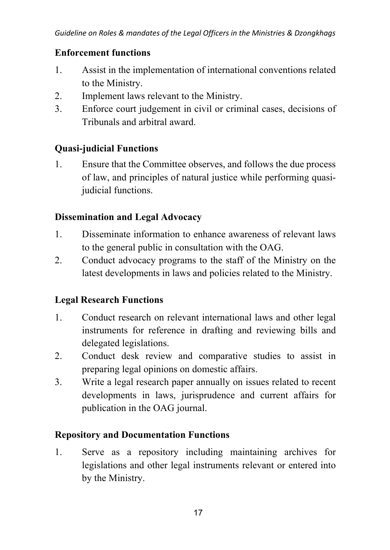### **Enforcement functions**

- 1. Assist in the implementation of international conventions related to the Ministry.
- 2. Implement laws relevant to the Ministry.
- 3. Enforce court judgement in civil or criminal cases, decisions of Tribunals and arbitral award.

### **Quasi-judicial Functions**

1. Ensure that the Committee observes, and follows the due process of law, and principles of natural justice while performing quasijudicial functions.

### **Dissemination and Legal Advocacy**

- 1. Disseminate information to enhance awareness of relevant laws to the general public in consultation with the OAG.
- 2. Conduct advocacy programs to the staff of the Ministry on the latest developments in laws and policies related to the Ministry.

### **Legal Research Functions**

- 1. Conduct research on relevant international laws and other legal instruments for reference in drafting and reviewing bills and delegated legislations.
- 2. Conduct desk review and comparative studies to assist in preparing legal opinions on domestic affairs.
- 3. Write a legal research paper annually on issues related to recent developments in laws, jurisprudence and current affairs for publication in the OAG journal.

### **Repository and Documentation Functions**

1. Serve as a repository including maintaining archives for legislations and other legal instruments relevant or entered into by the Ministry.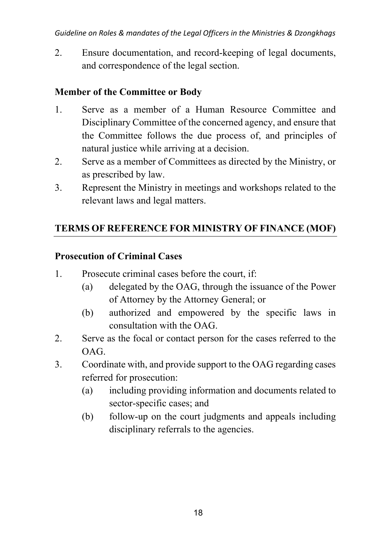2. Ensure documentation, and record-keeping of legal documents, and correspondence of the legal section.

### **Member of the Committee or Body**

- 1. Serve as a member of a Human Resource Committee and Disciplinary Committee of the concerned agency, and ensure that the Committee follows the due process of, and principles of natural justice while arriving at a decision.
- 2. Serve as a member of Committees as directed by the Ministry, or as prescribed by law.
- 3. Represent the Ministry in meetings and workshops related to the relevant laws and legal matters.

### **TERMS OF REFERENCE FOR MINISTRY OF FINANCE (MOF)**

### **Prosecution of Criminal Cases**

- 1. Prosecute criminal cases before the court, if:
	- (a) delegated by the OAG, through the issuance of the Power of Attorney by the Attorney General; or
	- (b) authorized and empowered by the specific laws in consultation with the OAG.
- 2. Serve as the focal or contact person for the cases referred to the OAG.
- 3. Coordinate with, and provide support to the OAG regarding cases referred for prosecution:
	- (a) including providing information and documents related to sector-specific cases; and
	- (b) follow-up on the court judgments and appeals including disciplinary referrals to the agencies.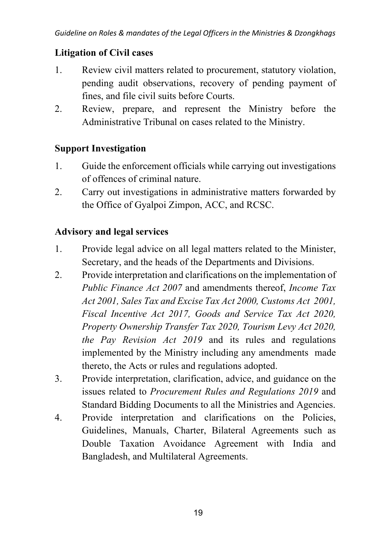#### **Litigation of Civil cases**

- 1. Review civil matters related to procurement, statutory violation, pending audit observations, recovery of pending payment of fines, and file civil suits before Courts.
- 2. Review, prepare, and represent the Ministry before the Administrative Tribunal on cases related to the Ministry.

### **Support Investigation**

- 1. Guide the enforcement officials while carrying out investigations of offences of criminal nature.
- 2. Carry out investigations in administrative matters forwarded by the Office of Gyalpoi Zimpon, ACC, and RCSC.

### **Advisory and legal services**

- 1. Provide legal advice on all legal matters related to the Minister, Secretary, and the heads of the Departments and Divisions.
- 2. Provide interpretation and clarifications on the implementation of *Public Finance Act 2007* and amendments thereof, *Income Tax Act 2001, Sales Tax and Excise Tax Act 2000, Customs Act 2001, Fiscal Incentive Act 2017, Goods and Service Tax Act 2020, Property Ownership Transfer Tax 2020, Tourism Levy Act 2020, the Pay Revision Act 2019* and its rules and regulations implemented by the Ministry including any amendments made thereto, the Acts or rules and regulations adopted.
- 3. Provide interpretation, clarification, advice, and guidance on the issues related to *Procurement Rules and Regulations 2019* and Standard Bidding Documents to all the Ministries and Agencies.
- 4. Provide interpretation and clarifications on the Policies, Guidelines, Manuals, Charter, Bilateral Agreements such as Double Taxation Avoidance Agreement with India and Bangladesh, and Multilateral Agreements.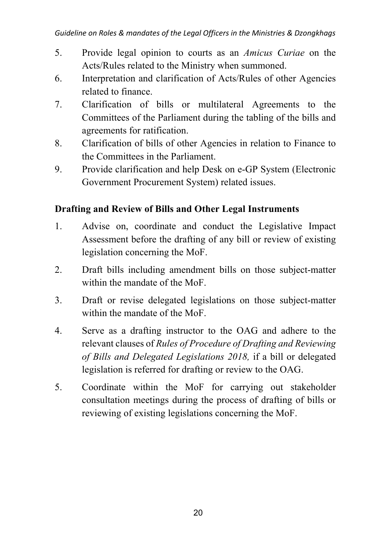- 5. Provide legal opinion to courts as an *Amicus Curiae* on the Acts/Rules related to the Ministry when summoned.
- 6. Interpretation and clarification of Acts/Rules of other Agencies related to finance.
- 7. Clarification of bills or multilateral Agreements to the Committees of the Parliament during the tabling of the bills and agreements for ratification.
- 8. Clarification of bills of other Agencies in relation to Finance to the Committees in the Parliament.
- 9. Provide clarification and help Desk on e-GP System (Electronic Government Procurement System) related issues.

### **Drafting and Review of Bills and Other Legal Instruments**

- 1. Advise on, coordinate and conduct the Legislative Impact Assessment before the drafting of any bill or review of existing legislation concerning the MoF.
- 2. Draft bills including amendment bills on those subject-matter within the mandate of the MoF.
- 3. Draft or revise delegated legislations on those subject-matter within the mandate of the MoF.
- 4. Serve as a drafting instructor to the OAG and adhere to the relevant clauses of *Rules of Procedure of Drafting and Reviewing of Bills and Delegated Legislations 2018,* if a bill or delegated legislation is referred for drafting or review to the OAG.
- 5. Coordinate within the MoF for carrying out stakeholder consultation meetings during the process of drafting of bills or reviewing of existing legislations concerning the MoF.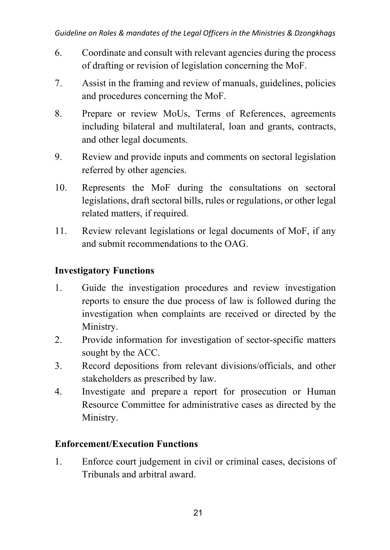- 6. Coordinate and consult with relevant agencies during the process of drafting or revision of legislation concerning the MoF.
- 7. Assist in the framing and review of manuals, guidelines, policies and procedures concerning the MoF.
- 8. Prepare or review MoUs, Terms of References, agreements including bilateral and multilateral, loan and grants, contracts, and other legal documents.
- 9. Review and provide inputs and comments on sectoral legislation referred by other agencies.
- 10. Represents the MoF during the consultations on sectoral legislations, draft sectoral bills, rules or regulations, or other legal related matters, if required.
- 11. Review relevant legislations or legal documents of MoF, if any and submit recommendations to the OAG.

### **Investigatory Functions**

- 1. Guide the investigation procedures and review investigation reports to ensure the due process of law is followed during the investigation when complaints are received or directed by the Ministry.
- 2. Provide information for investigation of sector-specific matters sought by the ACC.
- 3. Record depositions from relevant divisions/officials, and other stakeholders as prescribed by law.
- 4. Investigate and prepare a report for prosecution or Human Resource Committee for administrative cases as directed by the Ministry.

### **Enforcement/Execution Functions**

1. Enforce court judgement in civil or criminal cases, decisions of Tribunals and arbitral award.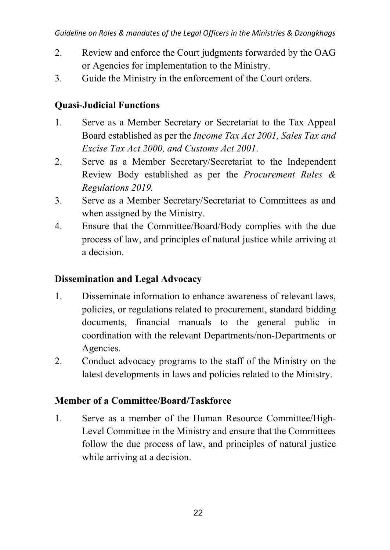- 2. Review and enforce the Court judgments forwarded by the OAG or Agencies for implementation to the Ministry.
- 3. Guide the Ministry in the enforcement of the Court orders.

### **Quasi-Judicial Functions**

- 1. Serve as a Member Secretary or Secretariat to the Tax Appeal Board established as per the *Income Tax Act 2001, Sales Tax and Excise Tax Act 2000, and Customs Act 2001*.
- 2. Serve as a Member Secretary/Secretariat to the Independent Review Body established as per the *Procurement Rules & Regulations 2019.*
- 3. Serve as a Member Secretary/Secretariat to Committees as and when assigned by the Ministry.
- 4. Ensure that the Committee/Board/Body complies with the due process of law, and principles of natural justice while arriving at a decision.

### **Dissemination and Legal Advocacy**

- 1. Disseminate information to enhance awareness of relevant laws, policies, or regulations related to procurement, standard bidding documents, financial manuals to the general public in coordination with the relevant Departments/non-Departments or Agencies.
- 2. Conduct advocacy programs to the staff of the Ministry on the latest developments in laws and policies related to the Ministry.

### **Member of a Committee/Board/Taskforce**

1. Serve as a member of the Human Resource Committee/High-Level Committee in the Ministry and ensure that the Committees follow the due process of law, and principles of natural justice while arriving at a decision.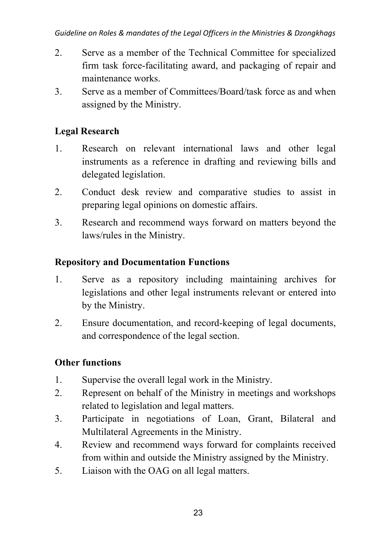- 2. Serve as a member of the Technical Committee for specialized firm task force-facilitating award, and packaging of repair and maintenance works.
- 3. Serve as a member of Committees/Board/task force as and when assigned by the Ministry.

### **Legal Research**

- 1. Research on relevant international laws and other legal instruments as a reference in drafting and reviewing bills and delegated legislation.
- 2. Conduct desk review and comparative studies to assist in preparing legal opinions on domestic affairs.
- 3. Research and recommend ways forward on matters beyond the laws/rules in the Ministry.

### **Repository and Documentation Functions**

- 1. Serve as a repository including maintaining archives for legislations and other legal instruments relevant or entered into by the Ministry.
- 2. Ensure documentation, and record-keeping of legal documents, and correspondence of the legal section.

### **Other functions**

- 1. Supervise the overall legal work in the Ministry.
- 2. Represent on behalf of the Ministry in meetings and workshops related to legislation and legal matters.
- 3. Participate in negotiations of Loan, Grant, Bilateral and Multilateral Agreements in the Ministry.
- 4. Review and recommend ways forward for complaints received from within and outside the Ministry assigned by the Ministry.
- 5. Liaison with the OAG on all legal matters.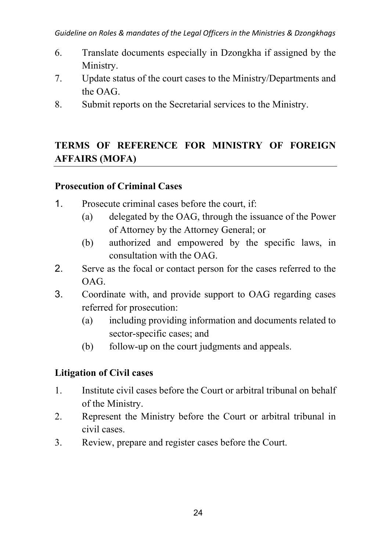- 6. Translate documents especially in Dzongkha if assigned by the Ministry.
- 7. Update status of the court cases to the Ministry/Departments and the OAG.
- 8. Submit reports on the Secretarial services to the Ministry.

# **TERMS OF REFERENCE FOR MINISTRY OF FOREIGN AFFAIRS (MOFA)**

#### **Prosecution of Criminal Cases**

- 1. Prosecute criminal cases before the court, if:
	- (a) delegated by the OAG, through the issuance of the Power of Attorney by the Attorney General; or
	- (b) authorized and empowered by the specific laws, in consultation with the OAG.
- 2. Serve as the focal or contact person for the cases referred to the OAG.
- 3. Coordinate with, and provide support to OAG regarding cases referred for prosecution:
	- (a) including providing information and documents related to sector-specific cases; and
	- (b) follow-up on the court judgments and appeals.

### **Litigation of Civil cases**

- 1. Institute civil cases before the Court or arbitral tribunal on behalf of the Ministry.
- 2. Represent the Ministry before the Court or arbitral tribunal in civil cases.
- 3. Review, prepare and register cases before the Court.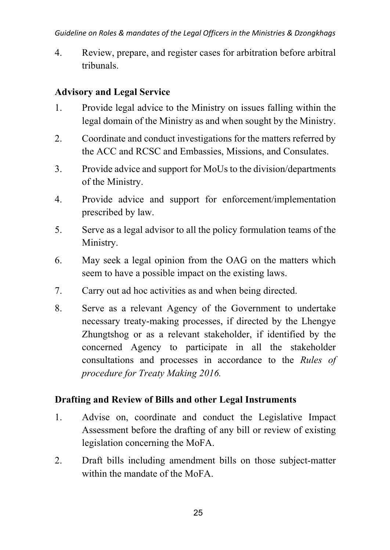4. Review, prepare, and register cases for arbitration before arbitral tribunals.

### **Advisory and Legal Service**

- 1. Provide legal advice to the Ministry on issues falling within the legal domain of the Ministry as and when sought by the Ministry.
- 2. Coordinate and conduct investigations for the matters referred by the ACC and RCSC and Embassies, Missions, and Consulates.
- 3. Provide advice and support for MoUs to the division/departments of the Ministry.
- 4. Provide advice and support for enforcement/implementation prescribed by law.
- 5. Serve as a legal advisor to all the policy formulation teams of the Ministry.
- 6. May seek a legal opinion from the OAG on the matters which seem to have a possible impact on the existing laws.
- 7. Carry out ad hoc activities as and when being directed.
- 8. Serve as a relevant Agency of the Government to undertake necessary treaty-making processes, if directed by the Lhengye Zhungtshog or as a relevant stakeholder, if identified by the concerned Agency to participate in all the stakeholder consultations and processes in accordance to the *Rules of procedure for Treaty Making 2016.*

#### **Drafting and Review of Bills and other Legal Instruments**

- 1. Advise on, coordinate and conduct the Legislative Impact Assessment before the drafting of any bill or review of existing legislation concerning the MoFA.
- 2. Draft bills including amendment bills on those subject-matter within the mandate of the MoFA.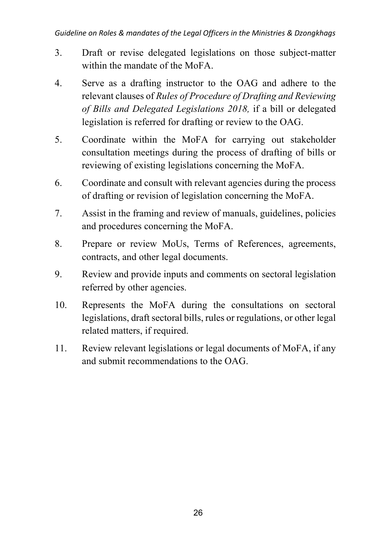- 3. Draft or revise delegated legislations on those subject-matter within the mandate of the MoFA.
- 4. Serve as a drafting instructor to the OAG and adhere to the relevant clauses of *Rules of Procedure of Drafting and Reviewing of Bills and Delegated Legislations 2018,* if a bill or delegated legislation is referred for drafting or review to the OAG.
- 5. Coordinate within the MoFA for carrying out stakeholder consultation meetings during the process of drafting of bills or reviewing of existing legislations concerning the MoFA.
- 6. Coordinate and consult with relevant agencies during the process of drafting or revision of legislation concerning the MoFA.
- 7. Assist in the framing and review of manuals, guidelines, policies and procedures concerning the MoFA.
- 8. Prepare or review MoUs, Terms of References, agreements, contracts, and other legal documents.
- 9. Review and provide inputs and comments on sectoral legislation referred by other agencies.
- 10. Represents the MoFA during the consultations on sectoral legislations, draft sectoral bills, rules or regulations, or other legal related matters, if required.
- 11. Review relevant legislations or legal documents of MoFA, if any and submit recommendations to the OAG.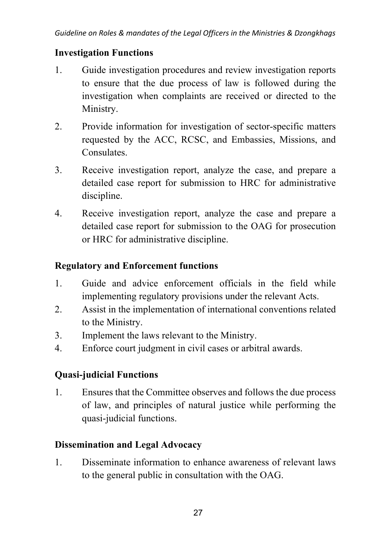### **Investigation Functions**

- 1. Guide investigation procedures and review investigation reports to ensure that the due process of law is followed during the investigation when complaints are received or directed to the Ministry.
- 2. Provide information for investigation of sector-specific matters requested by the ACC, RCSC, and Embassies, Missions, and Consulates.
- 3. Receive investigation report, analyze the case, and prepare a detailed case report for submission to HRC for administrative discipline.
- 4. Receive investigation report, analyze the case and prepare a detailed case report for submission to the OAG for prosecution or HRC for administrative discipline.

### **Regulatory and Enforcement functions**

- 1. Guide and advice enforcement officials in the field while implementing regulatory provisions under the relevant Acts.
- 2. Assist in the implementation of international conventions related to the Ministry.
- 3. Implement the laws relevant to the Ministry.
- 4. Enforce court judgment in civil cases or arbitral awards.

# **Quasi-judicial Functions**

1. Ensures that the Committee observes and follows the due process of law, and principles of natural justice while performing the quasi-judicial functions.

# **Dissemination and Legal Advocacy**

1. Disseminate information to enhance awareness of relevant laws to the general public in consultation with the OAG.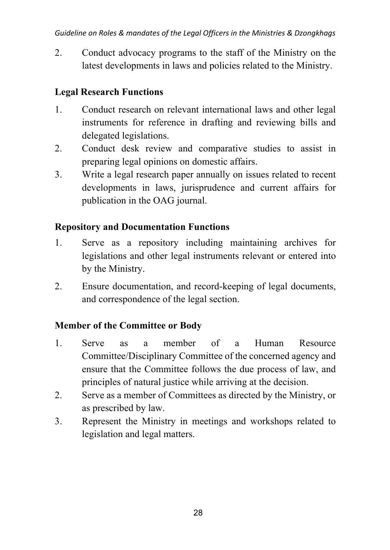2. Conduct advocacy programs to the staff of the Ministry on the latest developments in laws and policies related to the Ministry.

# **Legal Research Functions**

- 1. Conduct research on relevant international laws and other legal instruments for reference in drafting and reviewing bills and delegated legislations.
- 2. Conduct desk review and comparative studies to assist in preparing legal opinions on domestic affairs.
- 3. Write a legal research paper annually on issues related to recent developments in laws, jurisprudence and current affairs for publication in the OAG journal.

# **Repository and Documentation Functions**

- 1. Serve as a repository including maintaining archives for legislations and other legal instruments relevant or entered into by the Ministry.
- 2. Ensure documentation, and record-keeping of legal documents, and correspondence of the legal section.

# **Member of the Committee or Body**

- 1. Serve as a member of a Human Resource Committee/Disciplinary Committee of the concerned agency and ensure that the Committee follows the due process of law, and principles of natural justice while arriving at the decision.
- 2. Serve as a member of Committees as directed by the Ministry, or as prescribed by law.
- 3. Represent the Ministry in meetings and workshops related to legislation and legal matters.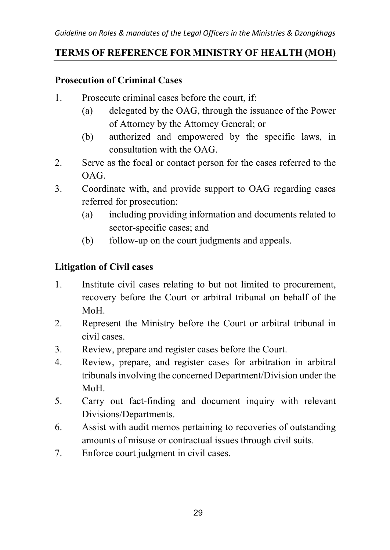### **TERMS OF REFERENCE FOR MINISTRY OF HEALTH (MOH)**

### **Prosecution of Criminal Cases**

- 1. Prosecute criminal cases before the court, if:
	- (a) delegated by the OAG, through the issuance of the Power of Attorney by the Attorney General; or
	- (b) authorized and empowered by the specific laws, in consultation with the OAG.
- 2. Serve as the focal or contact person for the cases referred to the OAG.
- 3. Coordinate with, and provide support to OAG regarding cases referred for prosecution:
	- (a) including providing information and documents related to sector-specific cases; and
	- (b) follow-up on the court judgments and appeals.

### **Litigation of Civil cases**

- 1. Institute civil cases relating to but not limited to procurement, recovery before the Court or arbitral tribunal on behalf of the MoH.
- 2. Represent the Ministry before the Court or arbitral tribunal in civil cases.
- 3. Review, prepare and register cases before the Court.
- 4. Review, prepare, and register cases for arbitration in arbitral tribunals involving the concerned Department/Division under the MoH.
- 5. Carry out fact-finding and document inquiry with relevant Divisions/Departments.
- 6. Assist with audit memos pertaining to recoveries of outstanding amounts of misuse or contractual issues through civil suits.
- 7. Enforce court judgment in civil cases.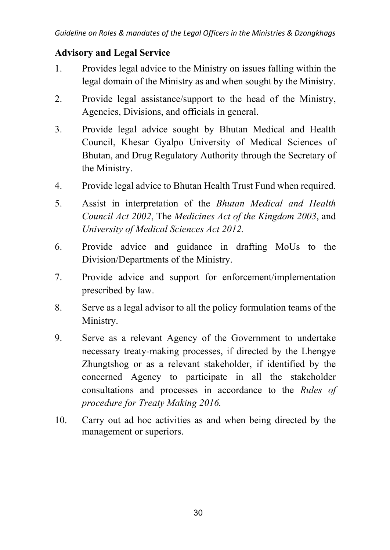### **Advisory and Legal Service**

- 1. Provides legal advice to the Ministry on issues falling within the legal domain of the Ministry as and when sought by the Ministry.
- 2. Provide legal assistance/support to the head of the Ministry, Agencies, Divisions, and officials in general.
- 3. Provide legal advice sought by Bhutan Medical and Health Council, Khesar Gyalpo University of Medical Sciences of Bhutan, and Drug Regulatory Authority through the Secretary of the Ministry.
- 4. Provide legal advice to Bhutan Health Trust Fund when required.
- 5. Assist in interpretation of the *Bhutan Medical and Health Council Act 2002*, The *Medicines Act of the Kingdom 2003*, and *University of Medical Sciences Act 2012.*
- 6. Provide advice and guidance in drafting MoUs to the Division/Departments of the Ministry.
- 7. Provide advice and support for enforcement/implementation prescribed by law.
- 8. Serve as a legal advisor to all the policy formulation teams of the Ministry.
- 9. Serve as a relevant Agency of the Government to undertake necessary treaty-making processes, if directed by the Lhengye Zhungtshog or as a relevant stakeholder, if identified by the concerned Agency to participate in all the stakeholder consultations and processes in accordance to the *Rules of procedure for Treaty Making 2016.*
- 10. Carry out ad hoc activities as and when being directed by the management or superiors.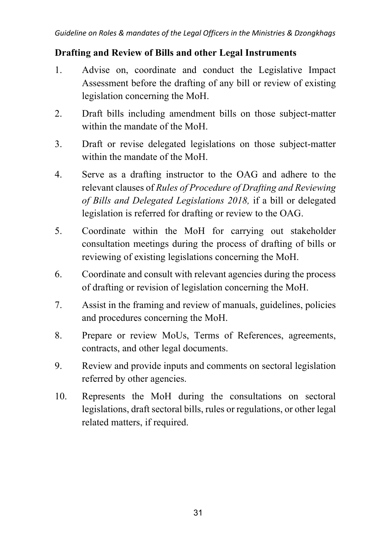#### **Drafting and Review of Bills and other Legal Instruments**

- 1. Advise on, coordinate and conduct the Legislative Impact Assessment before the drafting of any bill or review of existing legislation concerning the MoH.
- 2. Draft bills including amendment bills on those subject-matter within the mandate of the MoH.
- 3. Draft or revise delegated legislations on those subject-matter within the mandate of the MoH.
- 4. Serve as a drafting instructor to the OAG and adhere to the relevant clauses of *Rules of Procedure of Drafting and Reviewing of Bills and Delegated Legislations 2018,* if a bill or delegated legislation is referred for drafting or review to the OAG.
- 5. Coordinate within the MoH for carrying out stakeholder consultation meetings during the process of drafting of bills or reviewing of existing legislations concerning the MoH.
- 6. Coordinate and consult with relevant agencies during the process of drafting or revision of legislation concerning the MoH.
- 7. Assist in the framing and review of manuals, guidelines, policies and procedures concerning the MoH.
- 8. Prepare or review MoUs, Terms of References, agreements, contracts, and other legal documents.
- 9. Review and provide inputs and comments on sectoral legislation referred by other agencies.
- 10. Represents the MoH during the consultations on sectoral legislations, draft sectoral bills, rules or regulations, or other legal related matters, if required.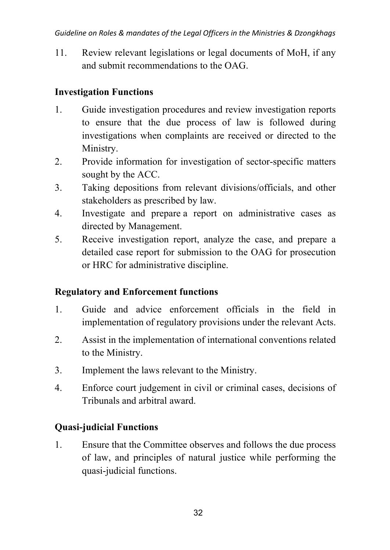11. Review relevant legislations or legal documents of MoH, if any and submit recommendations to the OAG.

### **Investigation Functions**

- 1. Guide investigation procedures and review investigation reports to ensure that the due process of law is followed during investigations when complaints are received or directed to the Ministry.
- 2. Provide information for investigation of sector-specific matters sought by the ACC.
- 3. Taking depositions from relevant divisions/officials, and other stakeholders as prescribed by law.
- 4. Investigate and prepare a report on administrative cases as directed by Management.
- 5. Receive investigation report, analyze the case, and prepare a detailed case report for submission to the OAG for prosecution or HRC for administrative discipline.

### **Regulatory and Enforcement functions**

- 1. Guide and advice enforcement officials in the field in implementation of regulatory provisions under the relevant Acts.
- 2. Assist in the implementation of international conventions related to the Ministry.
- 3. Implement the laws relevant to the Ministry.
- 4. Enforce court judgement in civil or criminal cases, decisions of Tribunals and arbitral award.

# **Quasi-judicial Functions**

1. Ensure that the Committee observes and follows the due process of law, and principles of natural justice while performing the quasi-judicial functions.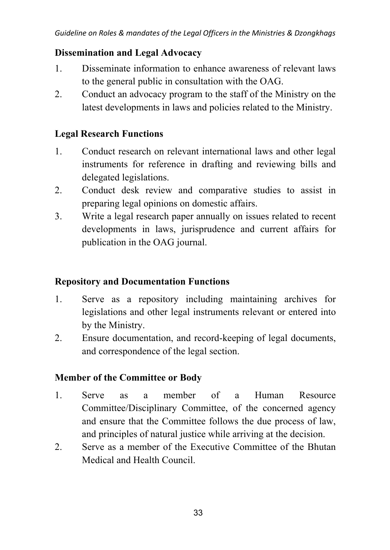#### **Dissemination and Legal Advocacy**

- 1. Disseminate information to enhance awareness of relevant laws to the general public in consultation with the OAG.
- 2. Conduct an advocacy program to the staff of the Ministry on the latest developments in laws and policies related to the Ministry.

#### **Legal Research Functions**

- 1. Conduct research on relevant international laws and other legal instruments for reference in drafting and reviewing bills and delegated legislations.
- 2. Conduct desk review and comparative studies to assist in preparing legal opinions on domestic affairs.
- 3. Write a legal research paper annually on issues related to recent developments in laws, jurisprudence and current affairs for publication in the OAG journal.

#### **Repository and Documentation Functions**

- 1. Serve as a repository including maintaining archives for legislations and other legal instruments relevant or entered into by the Ministry.
- 2. Ensure documentation, and record-keeping of legal documents, and correspondence of the legal section.

### **Member of the Committee or Body**

- 1. Serve as a member of a Human Resource Committee/Disciplinary Committee, of the concerned agency and ensure that the Committee follows the due process of law, and principles of natural justice while arriving at the decision.
- 2. Serve as a member of the Executive Committee of the Bhutan Medical and Health Council.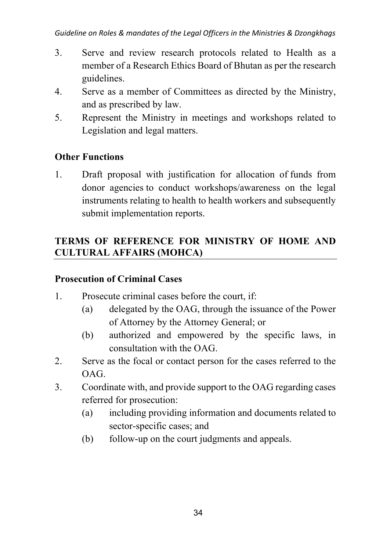- 3. Serve and review research protocols related to Health as a member of a Research Ethics Board of Bhutan as per the research guidelines.
- 4. Serve as a member of Committees as directed by the Ministry, and as prescribed by law.
- 5. Represent the Ministry in meetings and workshops related to Legislation and legal matters.

### **Other Functions**

1. Draft proposal with justification for allocation of funds from donor agencies to conduct workshops/awareness on the legal instruments relating to health to health workers and subsequently submit implementation reports.

### **TERMS OF REFERENCE FOR MINISTRY OF HOME AND CULTURAL AFFAIRS (MOHCA)**

#### **Prosecution of Criminal Cases**

- 1. Prosecute criminal cases before the court, if:
	- (a) delegated by the OAG, through the issuance of the Power of Attorney by the Attorney General; or
	- (b) authorized and empowered by the specific laws, in consultation with the OAG.
- 2. Serve as the focal or contact person for the cases referred to the OAG.
- 3. Coordinate with, and provide support to the OAG regarding cases referred for prosecution:
	- (a) including providing information and documents related to sector-specific cases; and
	- (b) follow-up on the court judgments and appeals.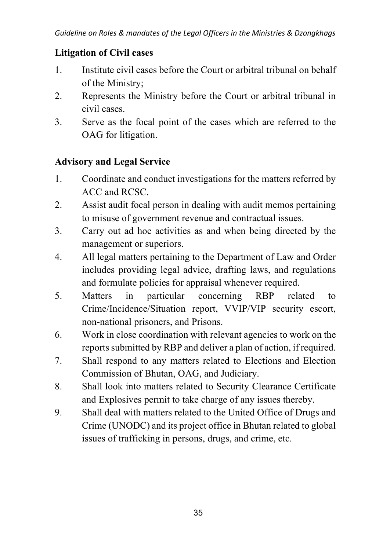#### **Litigation of Civil cases**

- 1. Institute civil cases before the Court or arbitral tribunal on behalf of the Ministry;
- 2. Represents the Ministry before the Court or arbitral tribunal in civil cases.
- 3. Serve as the focal point of the cases which are referred to the OAG for litigation.

### **Advisory and Legal Service**

- 1. Coordinate and conduct investigations for the matters referred by ACC and RCSC.
- 2. Assist audit focal person in dealing with audit memos pertaining to misuse of government revenue and contractual issues.
- 3. Carry out ad hoc activities as and when being directed by the management or superiors.
- 4. All legal matters pertaining to the Department of Law and Order includes providing legal advice, drafting laws, and regulations and formulate policies for appraisal whenever required.
- 5. Matters in particular concerning RBP related to Crime/Incidence/Situation report, VVIP/VIP security escort, non-national prisoners, and Prisons.
- 6. Work in close coordination with relevant agencies to work on the reports submitted by RBP and deliver a plan of action, if required.
- 7. Shall respond to any matters related to Elections and Election Commission of Bhutan, OAG, and Judiciary.
- 8. Shall look into matters related to Security Clearance Certificate and Explosives permit to take charge of any issues thereby.
- 9. Shall deal with matters related to the United Office of Drugs and Crime (UNODC) and its project office in Bhutan related to global issues of trafficking in persons, drugs, and crime, etc.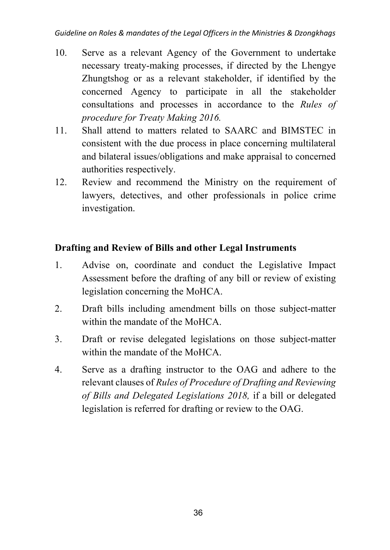- 10. Serve as a relevant Agency of the Government to undertake necessary treaty-making processes, if directed by the Lhengye Zhungtshog or as a relevant stakeholder, if identified by the concerned Agency to participate in all the stakeholder consultations and processes in accordance to the *Rules of procedure for Treaty Making 2016.*
- 11. Shall attend to matters related to SAARC and BIMSTEC in consistent with the due process in place concerning multilateral and bilateral issues/obligations and make appraisal to concerned authorities respectively.
- 12. Review and recommend the Ministry on the requirement of lawyers, detectives, and other professionals in police crime investigation.

### **Drafting and Review of Bills and other Legal Instruments**

- 1. Advise on, coordinate and conduct the Legislative Impact Assessment before the drafting of any bill or review of existing legislation concerning the MoHCA.
- 2. Draft bills including amendment bills on those subject-matter within the mandate of the MoHCA.
- 3. Draft or revise delegated legislations on those subject-matter within the mandate of the MoHCA.
- 4. Serve as a drafting instructor to the OAG and adhere to the relevant clauses of *Rules of Procedure of Drafting and Reviewing of Bills and Delegated Legislations 2018,* if a bill or delegated legislation is referred for drafting or review to the OAG.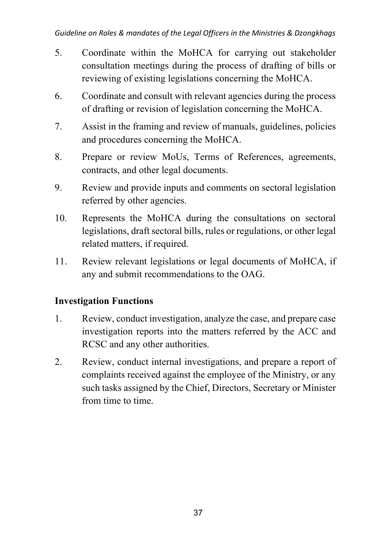- 5. Coordinate within the MoHCA for carrying out stakeholder consultation meetings during the process of drafting of bills or reviewing of existing legislations concerning the MoHCA.
- 6. Coordinate and consult with relevant agencies during the process of drafting or revision of legislation concerning the MoHCA.
- 7. Assist in the framing and review of manuals, guidelines, policies and procedures concerning the MoHCA.
- 8. Prepare or review MoUs, Terms of References, agreements, contracts, and other legal documents.
- 9. Review and provide inputs and comments on sectoral legislation referred by other agencies.
- 10. Represents the MoHCA during the consultations on sectoral legislations, draft sectoral bills, rules or regulations, or other legal related matters, if required.
- 11. Review relevant legislations or legal documents of MoHCA, if any and submit recommendations to the OAG.

### **Investigation Functions**

- 1. Review, conduct investigation, analyze the case, and prepare case investigation reports into the matters referred by the ACC and RCSC and any other authorities.
- 2. Review, conduct internal investigations, and prepare a report of complaints received against the employee of the Ministry, or any such tasks assigned by the Chief, Directors, Secretary or Minister from time to time.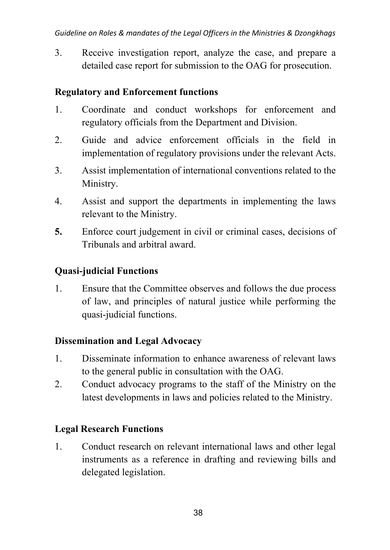3. Receive investigation report, analyze the case, and prepare a detailed case report for submission to the OAG for prosecution.

#### **Regulatory and Enforcement functions**

- 1. Coordinate and conduct workshops for enforcement and regulatory officials from the Department and Division.
- 2. Guide and advice enforcement officials in the field in implementation of regulatory provisions under the relevant Acts.
- 3. Assist implementation of international conventions related to the Ministry.
- 4. Assist and support the departments in implementing the laws relevant to the Ministry.
- **5.** Enforce court judgement in civil or criminal cases, decisions of Tribunals and arbitral award.

#### **Quasi-judicial Functions**

1. Ensure that the Committee observes and follows the due process of law, and principles of natural justice while performing the quasi-judicial functions.

#### **Dissemination and Legal Advocacy**

- 1. Disseminate information to enhance awareness of relevant laws to the general public in consultation with the OAG.
- 2. Conduct advocacy programs to the staff of the Ministry on the latest developments in laws and policies related to the Ministry.

### **Legal Research Functions**

1. Conduct research on relevant international laws and other legal instruments as a reference in drafting and reviewing bills and delegated legislation.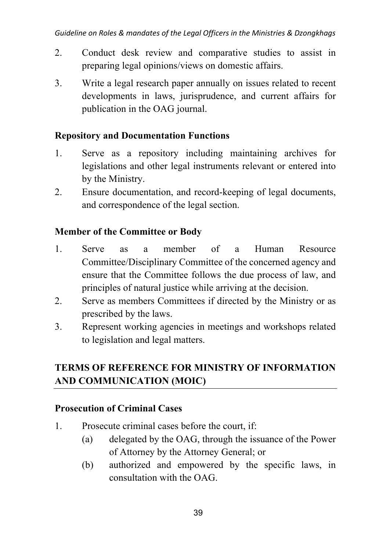- 2. Conduct desk review and comparative studies to assist in preparing legal opinions/views on domestic affairs.
- 3. Write a legal research paper annually on issues related to recent developments in laws, jurisprudence, and current affairs for publication in the OAG journal.

#### **Repository and Documentation Functions**

- 1. Serve as a repository including maintaining archives for legislations and other legal instruments relevant or entered into by the Ministry.
- 2. Ensure documentation, and record-keeping of legal documents, and correspondence of the legal section.

#### **Member of the Committee or Body**

- 1. Serve as a member of a Human Resource Committee/Disciplinary Committee of the concerned agency and ensure that the Committee follows the due process of law, and principles of natural justice while arriving at the decision.
- 2. Serve as members Committees if directed by the Ministry or as prescribed by the laws.
- 3. Represent working agencies in meetings and workshops related to legislation and legal matters.

# **TERMS OF REFERENCE FOR MINISTRY OF INFORMATION AND COMMUNICATION (MOIC)**

#### **Prosecution of Criminal Cases**

- 1. Prosecute criminal cases before the court, if:
	- (a) delegated by the OAG, through the issuance of the Power of Attorney by the Attorney General; or
	- (b) authorized and empowered by the specific laws, in consultation with the OAG.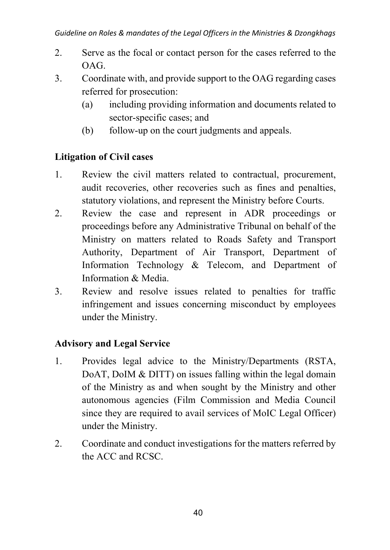- 2. Serve as the focal or contact person for the cases referred to the OAG.
- 3. Coordinate with, and provide support to the OAG regarding cases referred for prosecution:
	- (a) including providing information and documents related to sector-specific cases; and
	- (b) follow-up on the court judgments and appeals.

### **Litigation of Civil cases**

- 1. Review the civil matters related to contractual, procurement, audit recoveries, other recoveries such as fines and penalties, statutory violations, and represent the Ministry before Courts.
- 2. Review the case and represent in ADR proceedings or proceedings before any Administrative Tribunal on behalf of the Ministry on matters related to Roads Safety and Transport Authority, Department of Air Transport, Department of Information Technology & Telecom, and Department of Information & Media.
- 3. Review and resolve issues related to penalties for traffic infringement and issues concerning misconduct by employees under the Ministry.

### **Advisory and Legal Service**

- 1. Provides legal advice to the Ministry/Departments (RSTA, DoAT, DoIM & DITT) on issues falling within the legal domain of the Ministry as and when sought by the Ministry and other autonomous agencies (Film Commission and Media Council since they are required to avail services of MoIC Legal Officer) under the Ministry.
- 2. Coordinate and conduct investigations for the matters referred by the ACC and RCSC.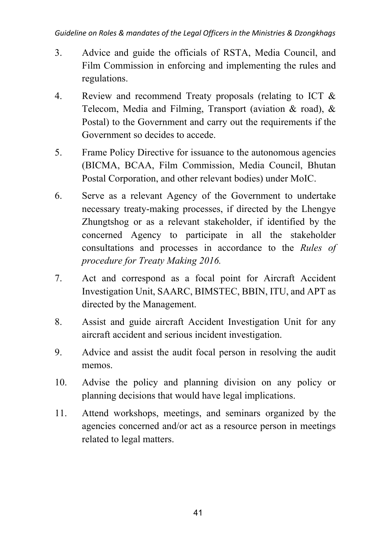#### *Guideline on Roles & mandates of the Legal Officers in the Ministries & Dzongkhags*

- 3. Advice and guide the officials of RSTA, Media Council, and Film Commission in enforcing and implementing the rules and regulations.
- 4. Review and recommend Treaty proposals (relating to ICT & Telecom, Media and Filming, Transport (aviation & road), & Postal) to the Government and carry out the requirements if the Government so decides to accede.
- 5. Frame Policy Directive for issuance to the autonomous agencies (BICMA, BCAA, Film Commission, Media Council, Bhutan Postal Corporation, and other relevant bodies) under MoIC.
- 6. Serve as a relevant Agency of the Government to undertake necessary treaty-making processes, if directed by the Lhengye Zhungtshog or as a relevant stakeholder, if identified by the concerned Agency to participate in all the stakeholder consultations and processes in accordance to the *Rules of procedure for Treaty Making 2016.*
- 7. Act and correspond as a focal point for Aircraft Accident Investigation Unit, SAARC, BIMSTEC, BBIN, ITU, and APT as directed by the Management.
- 8. Assist and guide aircraft Accident Investigation Unit for any aircraft accident and serious incident investigation.
- 9. Advice and assist the audit focal person in resolving the audit memos.
- 10. Advise the policy and planning division on any policy or planning decisions that would have legal implications.
- 11. Attend workshops, meetings, and seminars organized by the agencies concerned and/or act as a resource person in meetings related to legal matters.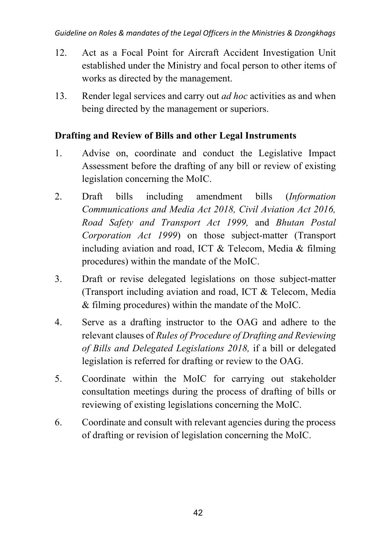- 12. Act as a Focal Point for Aircraft Accident Investigation Unit established under the Ministry and focal person to other items of works as directed by the management.
- 13. Render legal services and carry out *ad hoc* activities as and when being directed by the management or superiors.

#### **Drafting and Review of Bills and other Legal Instruments**

- 1. Advise on, coordinate and conduct the Legislative Impact Assessment before the drafting of any bill or review of existing legislation concerning the MoIC.
- 2. Draft bills including amendment bills (*Information Communications and Media Act 2018, Civil Aviation Act 2016, Road Safety and Transport Act 1999,* and *Bhutan Postal Corporation Act 1999*) on those subject-matter (Transport including aviation and road, ICT & Telecom, Media & filming procedures) within the mandate of the MoIC.
- 3. Draft or revise delegated legislations on those subject-matter (Transport including aviation and road, ICT & Telecom, Media & filming procedures) within the mandate of the MoIC.
- 4. Serve as a drafting instructor to the OAG and adhere to the relevant clauses of *Rules of Procedure of Drafting and Reviewing of Bills and Delegated Legislations 2018,* if a bill or delegated legislation is referred for drafting or review to the OAG.
- 5. Coordinate within the MoIC for carrying out stakeholder consultation meetings during the process of drafting of bills or reviewing of existing legislations concerning the MoIC.
- 6. Coordinate and consult with relevant agencies during the process of drafting or revision of legislation concerning the MoIC.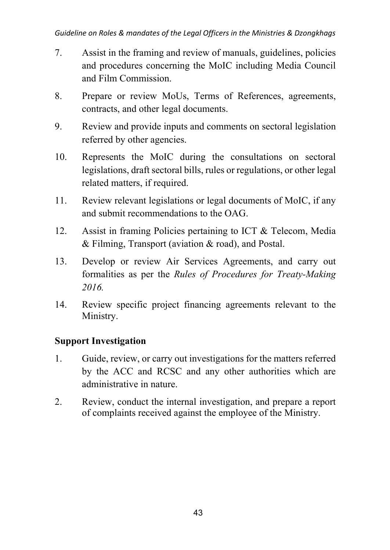- 7. Assist in the framing and review of manuals, guidelines, policies and procedures concerning the MoIC including Media Council and Film Commission.
- 8. Prepare or review MoUs, Terms of References, agreements, contracts, and other legal documents.
- 9. Review and provide inputs and comments on sectoral legislation referred by other agencies.
- 10. Represents the MoIC during the consultations on sectoral legislations, draft sectoral bills, rules or regulations, or other legal related matters, if required.
- 11. Review relevant legislations or legal documents of MoIC, if any and submit recommendations to the OAG.
- 12. Assist in framing Policies pertaining to ICT & Telecom, Media & Filming, Transport (aviation & road), and Postal.
- 13. Develop or review Air Services Agreements, and carry out formalities as per the *Rules of Procedures for Treaty-Making 2016.*
- 14. Review specific project financing agreements relevant to the Ministry.

### **Support Investigation**

- 1. Guide, review, or carry out investigations for the matters referred by the ACC and RCSC and any other authorities which are administrative in nature.
- 2. Review, conduct the internal investigation, and prepare a report of complaints received against the employee of the Ministry.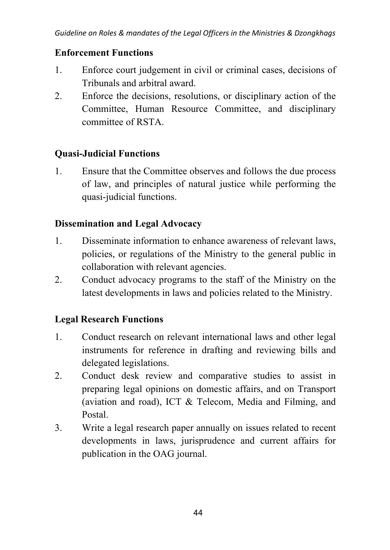#### **Enforcement Functions**

- 1. Enforce court judgement in civil or criminal cases, decisions of Tribunals and arbitral award.
- 2. Enforce the decisions, resolutions, or disciplinary action of the Committee, Human Resource Committee, and disciplinary committee of RSTA.

#### **Quasi-Judicial Functions**

1. Ensure that the Committee observes and follows the due process of law, and principles of natural justice while performing the quasi-judicial functions.

### **Dissemination and Legal Advocacy**

- 1. Disseminate information to enhance awareness of relevant laws, policies, or regulations of the Ministry to the general public in collaboration with relevant agencies.
- 2. Conduct advocacy programs to the staff of the Ministry on the latest developments in laws and policies related to the Ministry.

### **Legal Research Functions**

- 1. Conduct research on relevant international laws and other legal instruments for reference in drafting and reviewing bills and delegated legislations.
- 2. Conduct desk review and comparative studies to assist in preparing legal opinions on domestic affairs, and on Transport (aviation and road), ICT & Telecom, Media and Filming, and Postal.
- 3. Write a legal research paper annually on issues related to recent developments in laws, jurisprudence and current affairs for publication in the OAG journal.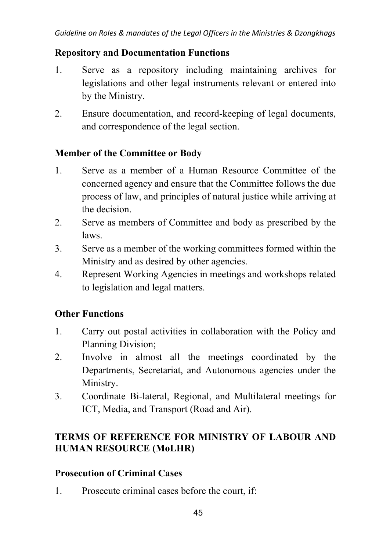#### **Repository and Documentation Functions**

- 1. Serve as a repository including maintaining archives for legislations and other legal instruments relevant or entered into by the Ministry.
- 2. Ensure documentation, and record-keeping of legal documents, and correspondence of the legal section.

#### **Member of the Committee or Body**

- 1. Serve as a member of a Human Resource Committee of the concerned agency and ensure that the Committee follows the due process of law, and principles of natural justice while arriving at the decision.
- 2. Serve as members of Committee and body as prescribed by the laws.
- 3. Serve as a member of the working committees formed within the Ministry and as desired by other agencies.
- 4. Represent Working Agencies in meetings and workshops related to legislation and legal matters.

#### **Other Functions**

- 1. Carry out postal activities in collaboration with the Policy and Planning Division;
- 2. Involve in almost all the meetings coordinated by the Departments, Secretariat, and Autonomous agencies under the Ministry.
- 3. Coordinate Bi-lateral, Regional, and Multilateral meetings for ICT, Media, and Transport (Road and Air).

### **TERMS OF REFERENCE FOR MINISTRY OF LABOUR AND HUMAN RESOURCE (MoLHR)**

#### **Prosecution of Criminal Cases**

1. Prosecute criminal cases before the court, if: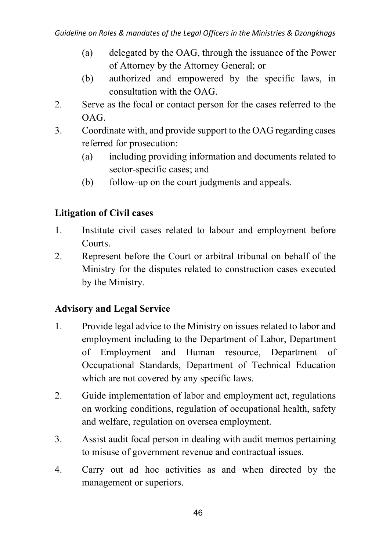- (a) delegated by the OAG, through the issuance of the Power of Attorney by the Attorney General; or
- (b) authorized and empowered by the specific laws, in consultation with the OAG.
- 2. Serve as the focal or contact person for the cases referred to the OAG.
- 3. Coordinate with, and provide support to the OAG regarding cases referred for prosecution:
	- (a) including providing information and documents related to sector-specific cases; and
	- (b) follow-up on the court judgments and appeals.

### **Litigation of Civil cases**

- 1. Institute civil cases related to labour and employment before Courts.
- 2. Represent before the Court or arbitral tribunal on behalf of the Ministry for the disputes related to construction cases executed by the Ministry.

### **Advisory and Legal Service**

- 1. Provide legal advice to the Ministry on issues related to labor and employment including to the Department of Labor, Department of Employment and Human resource, Department of Occupational Standards, Department of Technical Education which are not covered by any specific laws.
- 2. Guide implementation of labor and employment act, regulations on working conditions, regulation of occupational health, safety and welfare, regulation on oversea employment.
- 3. Assist audit focal person in dealing with audit memos pertaining to misuse of government revenue and contractual issues.
- 4. Carry out ad hoc activities as and when directed by the management or superiors.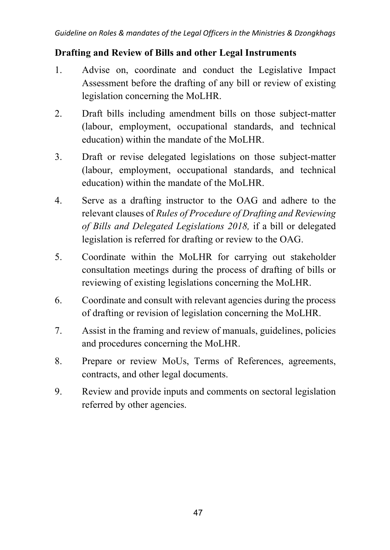#### **Drafting and Review of Bills and other Legal Instruments**

- 1. Advise on, coordinate and conduct the Legislative Impact Assessment before the drafting of any bill or review of existing legislation concerning the MoLHR.
- 2. Draft bills including amendment bills on those subject-matter (labour, employment, occupational standards, and technical education) within the mandate of the MoLHR.
- 3. Draft or revise delegated legislations on those subject-matter (labour, employment, occupational standards, and technical education) within the mandate of the MoLHR.
- 4. Serve as a drafting instructor to the OAG and adhere to the relevant clauses of *Rules of Procedure of Drafting and Reviewing of Bills and Delegated Legislations 2018,* if a bill or delegated legislation is referred for drafting or review to the OAG.
- 5. Coordinate within the MoLHR for carrying out stakeholder consultation meetings during the process of drafting of bills or reviewing of existing legislations concerning the MoLHR.
- 6. Coordinate and consult with relevant agencies during the process of drafting or revision of legislation concerning the MoLHR.
- 7. Assist in the framing and review of manuals, guidelines, policies and procedures concerning the MoLHR.
- 8. Prepare or review MoUs, Terms of References, agreements, contracts, and other legal documents.
- 9. Review and provide inputs and comments on sectoral legislation referred by other agencies.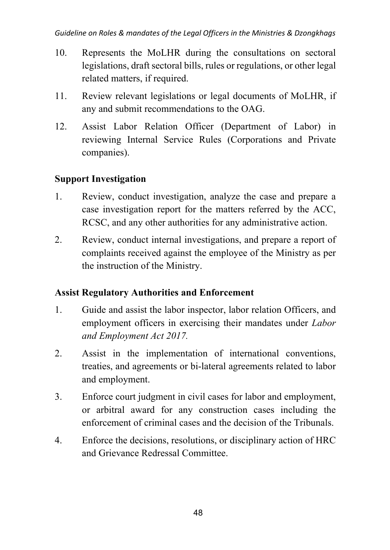- 10. Represents the MoLHR during the consultations on sectoral legislations, draft sectoral bills, rules or regulations, or other legal related matters, if required.
- 11. Review relevant legislations or legal documents of MoLHR, if any and submit recommendations to the OAG.
- 12. Assist Labor Relation Officer (Department of Labor) in reviewing Internal Service Rules (Corporations and Private companies).

### **Support Investigation**

- 1. Review, conduct investigation, analyze the case and prepare a case investigation report for the matters referred by the ACC, RCSC, and any other authorities for any administrative action.
- 2. Review, conduct internal investigations, and prepare a report of complaints received against the employee of the Ministry as per the instruction of the Ministry.

#### **Assist Regulatory Authorities and Enforcement**

- 1. Guide and assist the labor inspector, labor relation Officers, and employment officers in exercising their mandates under *Labor and Employment Act 2017.*
- 2. Assist in the implementation of international conventions, treaties, and agreements or bi-lateral agreements related to labor and employment.
- 3. Enforce court judgment in civil cases for labor and employment, or arbitral award for any construction cases including the enforcement of criminal cases and the decision of the Tribunals.
- 4. Enforce the decisions, resolutions, or disciplinary action of HRC and Grievance Redressal Committee.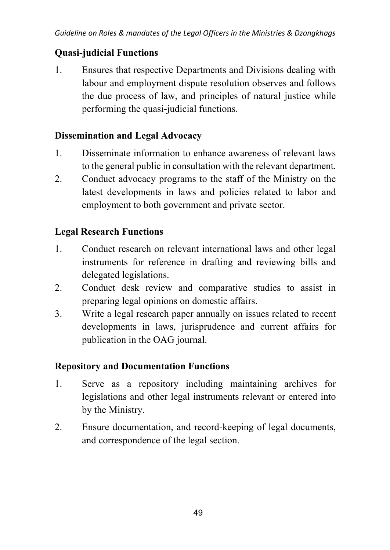### **Quasi-judicial Functions**

1. Ensures that respective Departments and Divisions dealing with labour and employment dispute resolution observes and follows the due process of law, and principles of natural justice while performing the quasi-judicial functions.

### **Dissemination and Legal Advocacy**

- 1. Disseminate information to enhance awareness of relevant laws to the general public in consultation with the relevant department.
- 2. Conduct advocacy programs to the staff of the Ministry on the latest developments in laws and policies related to labor and employment to both government and private sector.

### **Legal Research Functions**

- 1. Conduct research on relevant international laws and other legal instruments for reference in drafting and reviewing bills and delegated legislations.
- 2. Conduct desk review and comparative studies to assist in preparing legal opinions on domestic affairs.
- 3. Write a legal research paper annually on issues related to recent developments in laws, jurisprudence and current affairs for publication in the OAG journal.

# **Repository and Documentation Functions**

- 1. Serve as a repository including maintaining archives for legislations and other legal instruments relevant or entered into by the Ministry.
- 2. Ensure documentation, and record-keeping of legal documents, and correspondence of the legal section.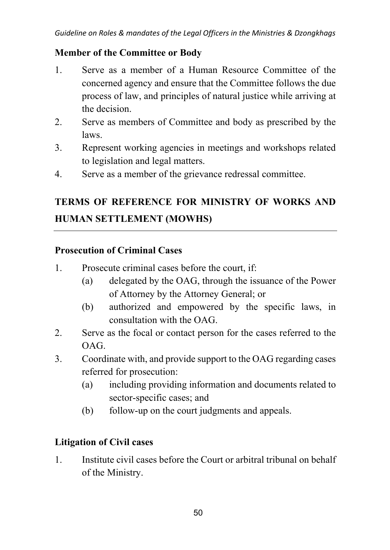#### **Member of the Committee or Body**

- 1. Serve as a member of a Human Resource Committee of the concerned agency and ensure that the Committee follows the due process of law, and principles of natural justice while arriving at the decision.
- 2. Serve as members of Committee and body as prescribed by the laws.
- 3. Represent working agencies in meetings and workshops related to legislation and legal matters.
- 4. Serve as a member of the grievance redressal committee.

# **TERMS OF REFERENCE FOR MINISTRY OF WORKS AND HUMAN SETTLEMENT (MOWHS)**

### **Prosecution of Criminal Cases**

- 1. Prosecute criminal cases before the court, if:
	- (a) delegated by the OAG, through the issuance of the Power of Attorney by the Attorney General; or
	- (b) authorized and empowered by the specific laws, in consultation with the OAG.
- 2. Serve as the focal or contact person for the cases referred to the OAG.
- 3. Coordinate with, and provide support to the OAG regarding cases referred for prosecution:
	- (a) including providing information and documents related to sector-specific cases; and
	- (b) follow-up on the court judgments and appeals.

### **Litigation of Civil cases**

1. Institute civil cases before the Court or arbitral tribunal on behalf of the Ministry.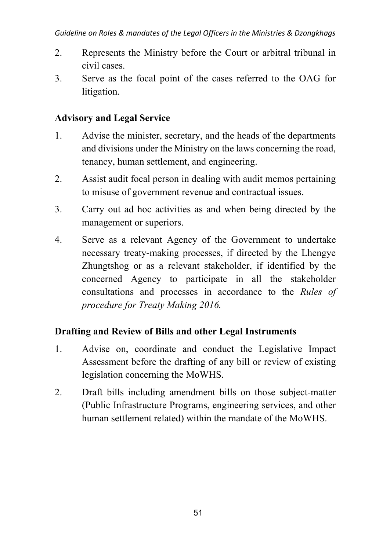- 2. Represents the Ministry before the Court or arbitral tribunal in civil cases.
- 3. Serve as the focal point of the cases referred to the OAG for litigation.

### **Advisory and Legal Service**

- 1. Advise the minister, secretary, and the heads of the departments and divisions under the Ministry on the laws concerning the road, tenancy, human settlement, and engineering.
- 2. Assist audit focal person in dealing with audit memos pertaining to misuse of government revenue and contractual issues.
- 3. Carry out ad hoc activities as and when being directed by the management or superiors.
- 4. Serve as a relevant Agency of the Government to undertake necessary treaty-making processes, if directed by the Lhengye Zhungtshog or as a relevant stakeholder, if identified by the concerned Agency to participate in all the stakeholder consultations and processes in accordance to the *Rules of procedure for Treaty Making 2016.*

### **Drafting and Review of Bills and other Legal Instruments**

- 1. Advise on, coordinate and conduct the Legislative Impact Assessment before the drafting of any bill or review of existing legislation concerning the MoWHS.
- 2. Draft bills including amendment bills on those subject-matter (Public Infrastructure Programs, engineering services, and other human settlement related) within the mandate of the MoWHS.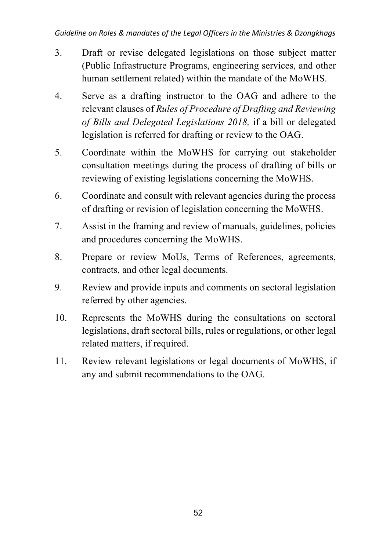- 3. Draft or revise delegated legislations on those subject matter (Public Infrastructure Programs, engineering services, and other human settlement related) within the mandate of the MoWHS.
- 4. Serve as a drafting instructor to the OAG and adhere to the relevant clauses of *Rules of Procedure of Drafting and Reviewing of Bills and Delegated Legislations 2018,* if a bill or delegated legislation is referred for drafting or review to the OAG.
- 5. Coordinate within the MoWHS for carrying out stakeholder consultation meetings during the process of drafting of bills or reviewing of existing legislations concerning the MoWHS.
- 6. Coordinate and consult with relevant agencies during the process of drafting or revision of legislation concerning the MoWHS.
- 7. Assist in the framing and review of manuals, guidelines, policies and procedures concerning the MoWHS.
- 8. Prepare or review MoUs, Terms of References, agreements, contracts, and other legal documents.
- 9. Review and provide inputs and comments on sectoral legislation referred by other agencies.
- 10. Represents the MoWHS during the consultations on sectoral legislations, draft sectoral bills, rules or regulations, or other legal related matters, if required.
- 11. Review relevant legislations or legal documents of MoWHS, if any and submit recommendations to the OAG.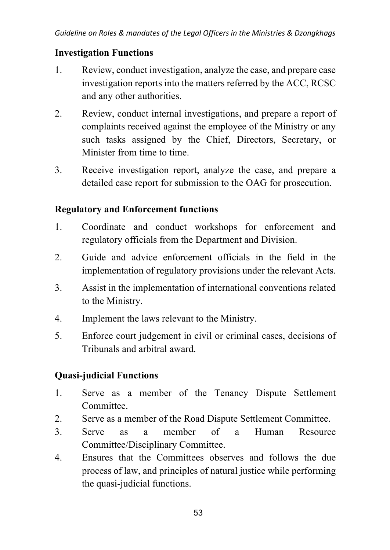#### **Investigation Functions**

- 1. Review, conduct investigation, analyze the case, and prepare case investigation reports into the matters referred by the ACC, RCSC and any other authorities.
- 2. Review, conduct internal investigations, and prepare a report of complaints received against the employee of the Ministry or any such tasks assigned by the Chief, Directors, Secretary, or Minister from time to time.
- 3. Receive investigation report, analyze the case, and prepare a detailed case report for submission to the OAG for prosecution.

#### **Regulatory and Enforcement functions**

- 1. Coordinate and conduct workshops for enforcement and regulatory officials from the Department and Division.
- 2. Guide and advice enforcement officials in the field in the implementation of regulatory provisions under the relevant Acts.
- 3. Assist in the implementation of international conventions related to the Ministry.
- 4. Implement the laws relevant to the Ministry.
- 5. Enforce court judgement in civil or criminal cases, decisions of Tribunals and arbitral award.

# **Quasi-judicial Functions**

- 1. Serve as a member of the Tenancy Dispute Settlement Committee.
- 2. Serve as a member of the Road Dispute Settlement Committee.
- 3. Serve as a member of a Human Resource Committee/Disciplinary Committee.
- 4. Ensures that the Committees observes and follows the due process of law, and principles of natural justice while performing the quasi-judicial functions.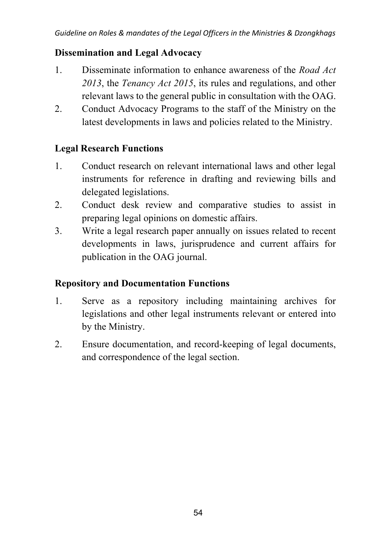#### **Dissemination and Legal Advocacy**

- 1. Disseminate information to enhance awareness of the *Road Act 2013*, the *Tenancy Act 2015*, its rules and regulations, and other relevant laws to the general public in consultation with the OAG.
- 2. Conduct Advocacy Programs to the staff of the Ministry on the latest developments in laws and policies related to the Ministry.

### **Legal Research Functions**

- 1. Conduct research on relevant international laws and other legal instruments for reference in drafting and reviewing bills and delegated legislations.
- 2. Conduct desk review and comparative studies to assist in preparing legal opinions on domestic affairs.
- 3. Write a legal research paper annually on issues related to recent developments in laws, jurisprudence and current affairs for publication in the OAG journal.

### **Repository and Documentation Functions**

- 1. Serve as a repository including maintaining archives for legislations and other legal instruments relevant or entered into by the Ministry.
- 2. Ensure documentation, and record-keeping of legal documents, and correspondence of the legal section.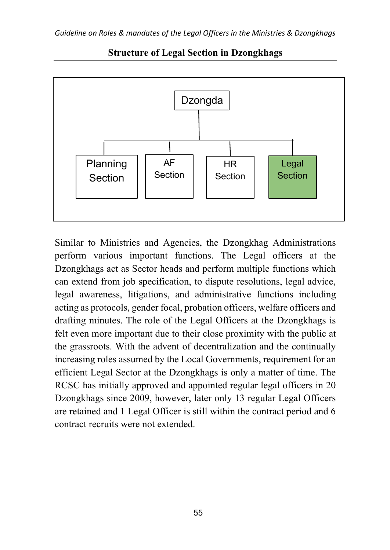

**Structure of Legal Section in Dzongkhags**

Similar to Ministries and Agencies, the Dzongkhag Administrations perform various important functions. The Legal officers at the Dzongkhags act as Sector heads and perform multiple functions which can extend from job specification, to dispute resolutions, legal advice, legal awareness, litigations, and administrative functions including acting as protocols, gender focal, probation officers, welfare officers and drafting minutes. The role of the Legal Officers at the Dzongkhags is felt even more important due to their close proximity with the public at the grassroots. With the advent of decentralization and the continually increasing roles assumed by the Local Governments, requirement for an efficient Legal Sector at the Dzongkhags is only a matter of time. The RCSC has initially approved and appointed regular legal officers in 20 Dzongkhags since 2009, however, later only 13 regular Legal Officers are retained and 1 Legal Officer is still within the contract period and 6 contract recruits were not extended.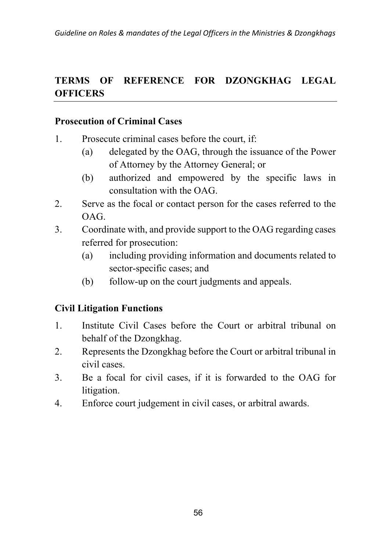# **TERMS OF REFERENCE FOR DZONGKHAG LEGAL OFFICERS**

#### **Prosecution of Criminal Cases**

- 1. Prosecute criminal cases before the court, if:
	- (a) delegated by the OAG, through the issuance of the Power of Attorney by the Attorney General; or
	- (b) authorized and empowered by the specific laws in consultation with the OAG.
- 2. Serve as the focal or contact person for the cases referred to the OAG.
- 3. Coordinate with, and provide support to the OAG regarding cases referred for prosecution:
	- (a) including providing information and documents related to sector-specific cases; and
	- (b) follow-up on the court judgments and appeals.

#### **Civil Litigation Functions**

- 1. Institute Civil Cases before the Court or arbitral tribunal on behalf of the Dzongkhag.
- 2. Represents the Dzongkhag before the Court or arbitral tribunal in civil cases.
- 3. Be a focal for civil cases, if it is forwarded to the OAG for litigation.
- 4. Enforce court judgement in civil cases, or arbitral awards.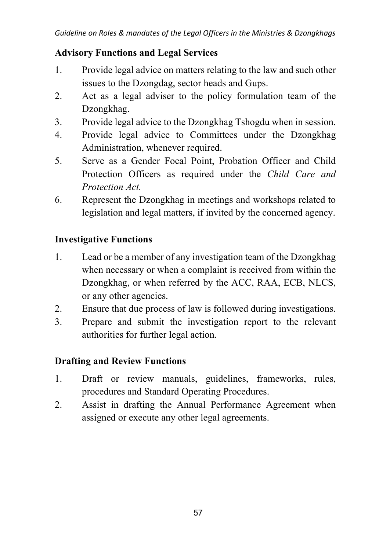### **Advisory Functions and Legal Services**

- 1. Provide legal advice on matters relating to the law and such other issues to the Dzongdag, sector heads and Gups.
- 2. Act as a legal adviser to the policy formulation team of the Dzongkhag.
- 3. Provide legal advice to the Dzongkhag Tshogdu when in session.
- 4. Provide legal advice to Committees under the Dzongkhag Administration, whenever required.
- 5. Serve as a Gender Focal Point, Probation Officer and Child Protection Officers as required under the *Child Care and Protection Act.*
- 6. Represent the Dzongkhag in meetings and workshops related to legislation and legal matters, if invited by the concerned agency.

### **Investigative Functions**

- 1. Lead or be a member of any investigation team of the Dzongkhag when necessary or when a complaint is received from within the Dzongkhag, or when referred by the ACC, RAA, ECB, NLCS, or any other agencies.
- 2. Ensure that due process of law is followed during investigations.
- 3. Prepare and submit the investigation report to the relevant authorities for further legal action.

### **Drafting and Review Functions**

- 1. Draft or review manuals, guidelines, frameworks, rules, procedures and Standard Operating Procedures.
- 2. Assist in drafting the Annual Performance Agreement when assigned or execute any other legal agreements.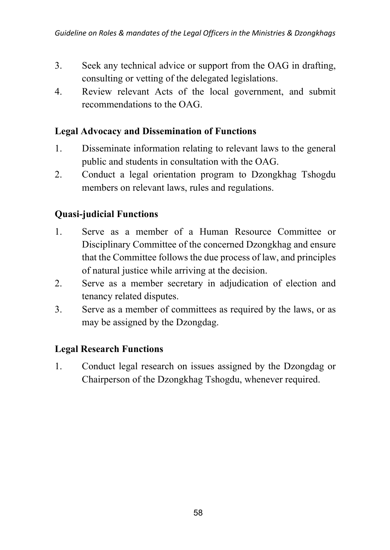- 3. Seek any technical advice or support from the OAG in drafting, consulting or vetting of the delegated legislations.
- 4. Review relevant Acts of the local government, and submit recommendations to the OAG.

#### **Legal Advocacy and Dissemination of Functions**

- 1. Disseminate information relating to relevant laws to the general public and students in consultation with the OAG.
- 2. Conduct a legal orientation program to Dzongkhag Tshogdu members on relevant laws, rules and regulations.

#### **Quasi-judicial Functions**

- 1. Serve as a member of a Human Resource Committee or Disciplinary Committee of the concerned Dzongkhag and ensure that the Committee follows the due process of law, and principles of natural justice while arriving at the decision.
- 2. Serve as a member secretary in adjudication of election and tenancy related disputes.
- 3. Serve as a member of committees as required by the laws, or as may be assigned by the Dzongdag.

#### **Legal Research Functions**

1. Conduct legal research on issues assigned by the Dzongdag or Chairperson of the Dzongkhag Tshogdu, whenever required.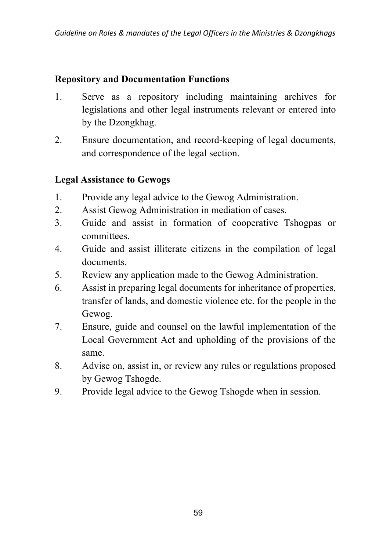#### **Repository and Documentation Functions**

- 1. Serve as a repository including maintaining archives for legislations and other legal instruments relevant or entered into by the Dzongkhag.
- 2. Ensure documentation, and record-keeping of legal documents, and correspondence of the legal section.

#### **Legal Assistance to Gewogs**

- 1. Provide any legal advice to the Gewog Administration.
- 2. Assist Gewog Administration in mediation of cases.
- 3. Guide and assist in formation of cooperative Tshogpas or committees.
- 4. Guide and assist illiterate citizens in the compilation of legal documents.
- 5. Review any application made to the Gewog Administration.
- 6. Assist in preparing legal documents for inheritance of properties, transfer of lands, and domestic violence etc. for the people in the Gewog.
- 7. Ensure, guide and counsel on the lawful implementation of the Local Government Act and upholding of the provisions of the same.
- 8. Advise on, assist in, or review any rules or regulations proposed by Gewog Tshogde.
- 9. Provide legal advice to the Gewog Tshogde when in session.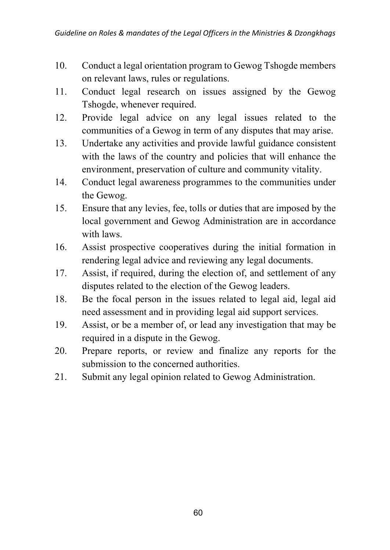- 10. Conduct a legal orientation program to Gewog Tshogde members on relevant laws, rules or regulations.
- 11. Conduct legal research on issues assigned by the Gewog Tshogde, whenever required.
- 12. Provide legal advice on any legal issues related to the communities of a Gewog in term of any disputes that may arise.
- 13. Undertake any activities and provide lawful guidance consistent with the laws of the country and policies that will enhance the environment, preservation of culture and community vitality.
- 14. Conduct legal awareness programmes to the communities under the Gewog.
- 15. Ensure that any levies, fee, tolls or duties that are imposed by the local government and Gewog Administration are in accordance with laws.
- 16. Assist prospective cooperatives during the initial formation in rendering legal advice and reviewing any legal documents.
- 17. Assist, if required, during the election of, and settlement of any disputes related to the election of the Gewog leaders.
- 18. Be the focal person in the issues related to legal aid, legal aid need assessment and in providing legal aid support services.
- 19. Assist, or be a member of, or lead any investigation that may be required in a dispute in the Gewog.
- 20. Prepare reports, or review and finalize any reports for the submission to the concerned authorities.
- 21. Submit any legal opinion related to Gewog Administration.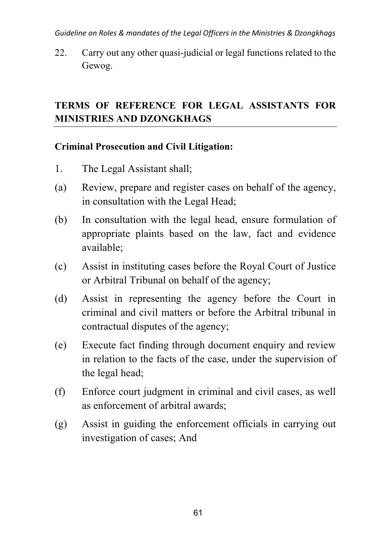*Guideline on Roles & mandates of the Legal Officers in the Ministries & Dzongkhags*

22. Carry out any other quasi-judicial or legal functions related to the Gewog.

# **TERMS OF REFERENCE FOR LEGAL ASSISTANTS FOR MINISTRIES AND DZONGKHAGS**

### **Criminal Prosecution and Civil Litigation:**

- 1. The Legal Assistant shall;
- (a) Review, prepare and register cases on behalf of the agency, in consultation with the Legal Head;
- (b) In consultation with the legal head, ensure formulation of appropriate plaints based on the law, fact and evidence available;
- (c) Assist in instituting cases before the Royal Court of Justice or Arbitral Tribunal on behalf of the agency;
- (d) Assist in representing the agency before the Court in criminal and civil matters or before the Arbitral tribunal in contractual disputes of the agency;
- (e) Execute fact finding through document enquiry and review in relation to the facts of the case, under the supervision of the legal head;
- (f) Enforce court judgment in criminal and civil cases, as well as enforcement of arbitral awards;
- (g) Assist in guiding the enforcement officials in carrying out investigation of cases; And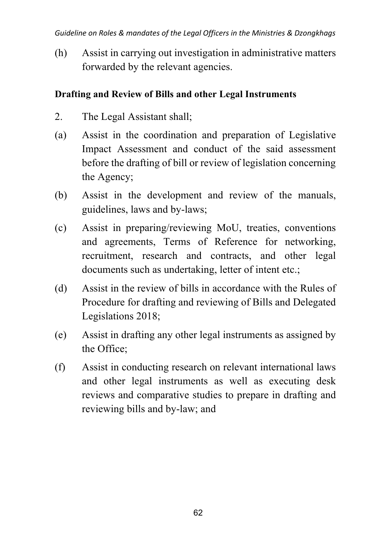(h) Assist in carrying out investigation in administrative matters forwarded by the relevant agencies.

### **Drafting and Review of Bills and other Legal Instruments**

- 2. The Legal Assistant shall;
- (a) Assist in the coordination and preparation of Legislative Impact Assessment and conduct of the said assessment before the drafting of bill or review of legislation concerning the Agency;
- (b) Assist in the development and review of the manuals, guidelines, laws and by-laws;
- (c) Assist in preparing/reviewing MoU, treaties, conventions and agreements, Terms of Reference for networking, recruitment, research and contracts, and other legal documents such as undertaking, letter of intent etc.;
- (d) Assist in the review of bills in accordance with the Rules of Procedure for drafting and reviewing of Bills and Delegated Legislations 2018;
- (e) Assist in drafting any other legal instruments as assigned by the Office;
- (f) Assist in conducting research on relevant international laws and other legal instruments as well as executing desk reviews and comparative studies to prepare in drafting and reviewing bills and by-law; and